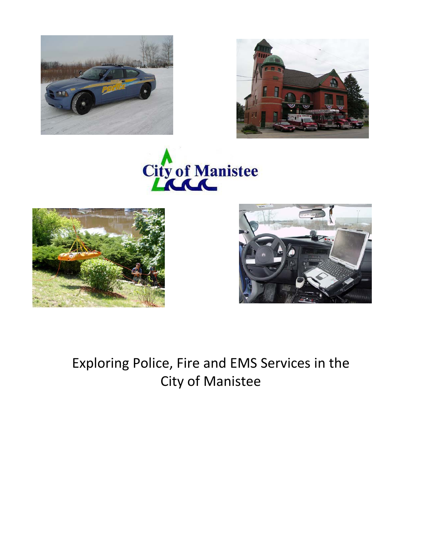









Exploring Police, Fire and EMS Services in the City of Manistee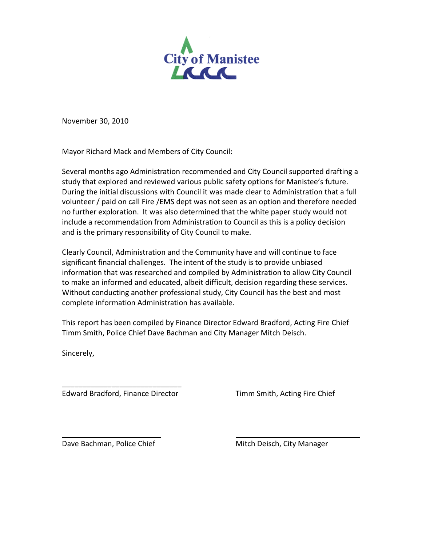

November 30, 2010

Mayor Richard Mack and Members of City Council:

Several months ago Administration recommended and City Council supported drafting a study that explored and reviewed various public safety options for Manistee's future. During the initial discussions with Council it was made clear to Administration that a full volunteer / paid on call Fire /EMS dept was not seen as an option and therefore needed no further exploration. It was also determined that the white paper study would not include a recommendation from Administration to Council as this is a policy decision and is the primary responsibility of City Council to make.

Clearly Council, Administration and the Community have and will continue to face significant financial challenges. The intent of the study is to provide unbiased information that was researched and compiled by Administration to allow City Council to make an informed and educated, albeit difficult, decision regarding these services. Without conducting another professional study, City Council has the best and most complete information Administration has available.

This report has been compiled by Finance Director Edward Bradford, Acting Fire Chief Timm Smith, Police Chief Dave Bachman and City Manager Mitch Deisch.

Sincerely,

 $\overline{\phantom{a}}$  , which is a set of the set of the set of the set of the set of the set of the set of the set of the set of the set of the set of the set of the set of the set of the set of the set of the set of the set of th Edward Bradford, Finance Director Timm Smith, Acting Fire Chief

Dave Bachman, Police Chief Mitch Deisch, City Manager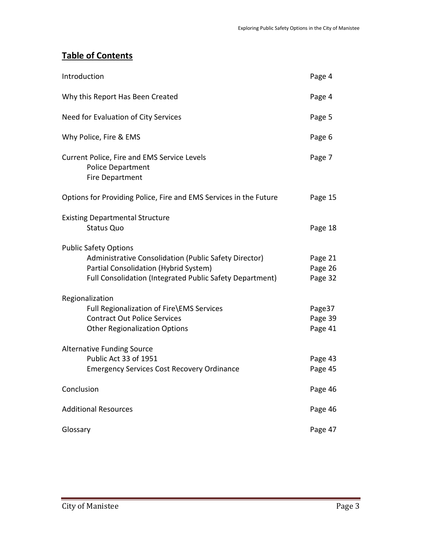# **Table of Contents**

| Introduction                                                                                                                                                                               | Page 4                        |
|--------------------------------------------------------------------------------------------------------------------------------------------------------------------------------------------|-------------------------------|
| Why this Report Has Been Created                                                                                                                                                           | Page 4                        |
| Need for Evaluation of City Services                                                                                                                                                       | Page 5                        |
| Why Police, Fire & EMS                                                                                                                                                                     | Page 6                        |
| Current Police, Fire and EMS Service Levels<br><b>Police Department</b><br>Fire Department                                                                                                 | Page 7                        |
| Options for Providing Police, Fire and EMS Services in the Future                                                                                                                          | Page 15                       |
| <b>Existing Departmental Structure</b><br><b>Status Quo</b>                                                                                                                                | Page 18                       |
| <b>Public Safety Options</b><br>Administrative Consolidation (Public Safety Director)<br>Partial Consolidation (Hybrid System)<br>Full Consolidation (Integrated Public Safety Department) | Page 21<br>Page 26<br>Page 32 |
| Regionalization<br>Full Regionalization of Fire\EMS Services<br><b>Contract Out Police Services</b><br><b>Other Regionalization Options</b>                                                | Page37<br>Page 39<br>Page 41  |
| <b>Alternative Funding Source</b><br>Public Act 33 of 1951<br><b>Emergency Services Cost Recovery Ordinance</b>                                                                            | Page 43<br>Page 45            |
| Conclusion                                                                                                                                                                                 | Page 46                       |
| <b>Additional Resources</b>                                                                                                                                                                | Page 46                       |
| Glossary                                                                                                                                                                                   | Page 47                       |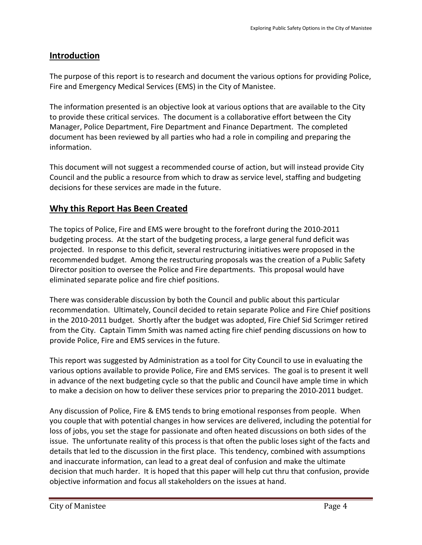# **Introduction**

The purpose of this report is to research and document the various options for providing Police, Fire and Emergency Medical Services (EMS) in the City of Manistee.

The information presented is an objective look at various options that are available to the City to provide these critical services. The document is a collaborative effort between the City Manager, Police Department, Fire Department and Finance Department. The completed document has been reviewed by all parties who had a role in compiling and preparing the information.

This document will not suggest a recommended course of action, but will instead provide City Council and the public a resource from which to draw as service level, staffing and budgeting decisions for these services are made in the future.

# **Why this Report Has Been Created**

The topics of Police, Fire and EMS were brought to the forefront during the 2010-2011 budgeting process. At the start of the budgeting process, a large general fund deficit was projected. In response to this deficit, several restructuring initiatives were proposed in the recommended budget. Among the restructuring proposals was the creation of a Public Safety Director position to oversee the Police and Fire departments. This proposal would have eliminated separate police and fire chief positions.

There was considerable discussion by both the Council and public about this particular recommendation. Ultimately, Council decided to retain separate Police and Fire Chief positions in the 2010-2011 budget. Shortly after the budget was adopted, Fire Chief Sid Scrimger retired from the City. Captain Timm Smith was named acting fire chief pending discussions on how to provide Police, Fire and EMS services in the future.

This report was suggested by Administration as a tool for City Council to use in evaluating the various options available to provide Police, Fire and EMS services. The goal is to present it well in advance of the next budgeting cycle so that the public and Council have ample time in which to make a decision on how to deliver these services prior to preparing the 2010-2011 budget.

Any discussion of Police, Fire & EMS tends to bring emotional responses from people. When you couple that with potential changes in how services are delivered, including the potential for loss of jobs, you set the stage for passionate and often heated discussions on both sides of the issue. The unfortunate reality of this process is that often the public loses sight of the facts and details that led to the discussion in the first place. This tendency, combined with assumptions and inaccurate information, can lead to a great deal of confusion and make the ultimate decision that much harder. It is hoped that this paper will help cut thru that confusion, provide objective information and focus all stakeholders on the issues at hand.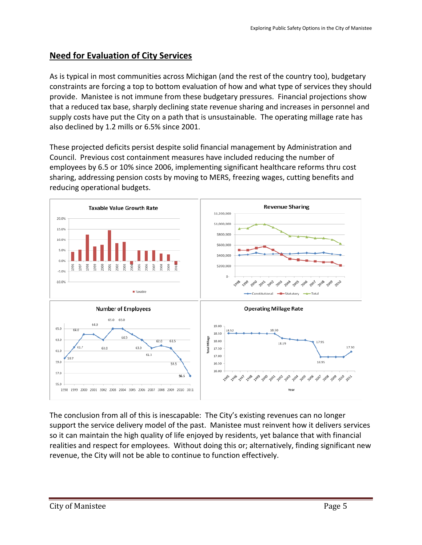# **Need for Evaluation of City Services**

As is typical in most communities across Michigan (and the rest of the country too), budgetary constraints are forcing a top to bottom evaluation of how and what type of services they should provide. Manistee is not immune from these budgetary pressures. Financial projections show that a reduced tax base, sharply declining state revenue sharing and increases in personnel and supply costs have put the City on a path that is unsustainable. The operating millage rate has also declined by 1.2 mills or 6.5% since 2001.

These projected deficits persist despite solid financial management by Administration and Council. Previous cost containment measures have included reducing the number of employees by 6.5 or 10% since 2006, implementing significant healthcare reforms thru cost sharing, addressing pension costs by moving to MERS, freezing wages, cutting benefits and reducing operational budgets.



The conclusion from all of this is inescapable: The City's existing revenues can no longer support the service delivery model of the past. Manistee must reinvent how it delivers services so it can maintain the high quality of life enjoyed by residents, yet balance that with financial realities and respect for employees. Without doing this or; alternatively, finding significant new revenue, the City will not be able to continue to function effectively.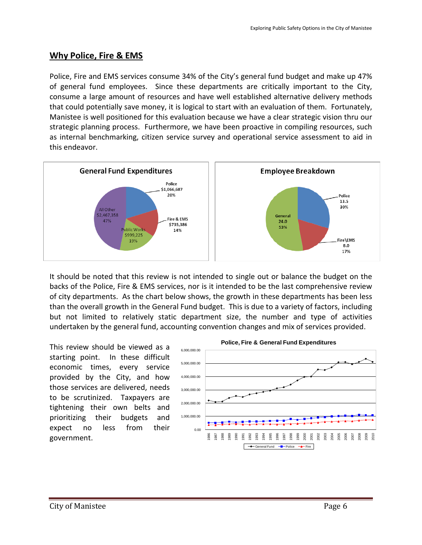## **Why Police, Fire & EMS**

Police, Fire and EMS services consume 34% of the City's general fund budget and make up 47% of general fund employees. Since these departments are critically important to the City, consume a large amount of resources and have well established alternative delivery methods that could potentially save money, it is logical to start with an evaluation of them. Fortunately, Manistee is well positioned for this evaluation because we have a clear strategic vision thru our strategic planning process. Furthermore, we have been proactive in compiling resources, such as internal benchmarking, citizen service survey and operational service assessment to aid in this endeavor.



It should be noted that this review is not intended to single out or balance the budget on the backs of the Police, Fire & EMS services, nor is it intended to be the last comprehensive review of city departments. As the chart below shows, the growth in these departments has been less than the overall growth in the General Fund budget. This is due to a variety of factors, including but not limited to relatively static department size, the number and type of activities undertaken by the general fund, accounting convention changes and mix of services provided.

This review should be viewed as a starting point. In these difficult economic times, every service provided by the City, and how those services are delivered, needs to be scrutinized. Taxpayers are tightening their own belts and prioritizing their budgets and expect no less from their government.

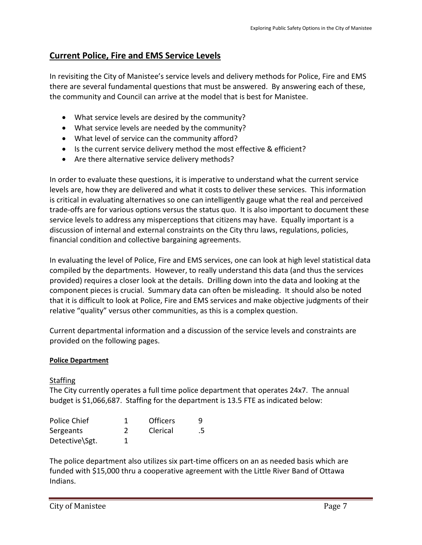# **Current Police, Fire and EMS Service Levels**

In revisiting the City of Manistee's service levels and delivery methods for Police, Fire and EMS there are several fundamental questions that must be answered. By answering each of these, the community and Council can arrive at the model that is best for Manistee.

- What service levels are desired by the community?
- What service levels are needed by the community?
- What level of service can the community afford?
- Is the current service delivery method the most effective & efficient?
- Are there alternative service delivery methods?

In order to evaluate these questions, it is imperative to understand what the current service levels are, how they are delivered and what it costs to deliver these services. This information is critical in evaluating alternatives so one can intelligently gauge what the real and perceived trade-offs are for various options versus the status quo. It is also important to document these service levels to address any misperceptions that citizens may have. Equally important is a discussion of internal and external constraints on the City thru laws, regulations, policies, financial condition and collective bargaining agreements.

In evaluating the level of Police, Fire and EMS services, one can look at high level statistical data compiled by the departments. However, to really understand this data (and thus the services provided) requires a closer look at the details. Drilling down into the data and looking at the component pieces is crucial. Summary data can often be misleading. It should also be noted that it is difficult to look at Police, Fire and EMS services and make objective judgments of their relative "quality" versus other communities, as this is a complex question.

Current departmental information and a discussion of the service levels and constraints are provided on the following pages.

#### **Police Department**

#### **Staffing**

The City currently operates a full time police department that operates 24x7. The annual budget is \$1,066,687. Staffing for the department is 13.5 FTE as indicated below:

| Police Chief   | <b>Officers</b> | ч  |
|----------------|-----------------|----|
| Sergeants      | Clerical        | .5 |
| Detective\Sgt. |                 |    |

The police department also utilizes six part-time officers on an as needed basis which are funded with \$15,000 thru a cooperative agreement with the Little River Band of Ottawa Indians.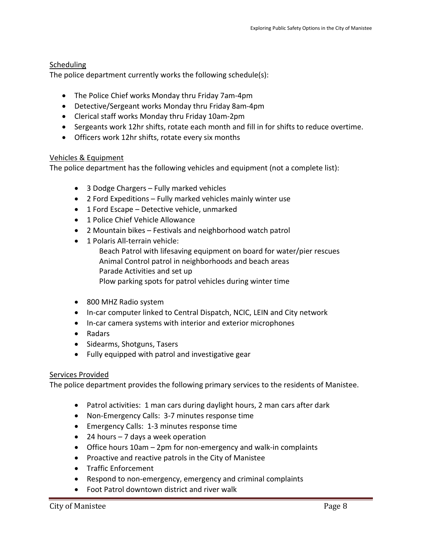#### **Scheduling**

The police department currently works the following schedule(s):

- The Police Chief works Monday thru Friday 7am-4pm
- Detective/Sergeant works Monday thru Friday 8am-4pm
- Clerical staff works Monday thru Friday 10am-2pm
- Sergeants work 12hr shifts, rotate each month and fill in for shifts to reduce overtime.
- Officers work 12hr shifts, rotate every six months

#### Vehicles & Equipment

The police department has the following vehicles and equipment (not a complete list):

- 3 Dodge Chargers Fully marked vehicles
- 2 Ford Expeditions Fully marked vehicles mainly winter use
- 1 Ford Escape Detective vehicle, unmarked
- 1 Police Chief Vehicle Allowance
- 2 Mountain bikes Festivals and neighborhood watch patrol
- 1 Polaris All-terrain vehicle: Beach Patrol with lifesaving equipment on board for water/pier rescues Animal Control patrol in neighborhoods and beach areas Parade Activities and set up Plow parking spots for patrol vehicles during winter time
- 800 MHZ Radio system
- In-car computer linked to Central Dispatch, NCIC, LEIN and City network
- In-car camera systems with interior and exterior microphones
- Radars
- Sidearms, Shotguns, Tasers
- Fully equipped with patrol and investigative gear

#### Services Provided

The police department provides the following primary services to the residents of Manistee.

- Patrol activities: 1 man cars during daylight hours, 2 man cars after dark
- Non-Emergency Calls: 3-7 minutes response time
- Emergency Calls: 1-3 minutes response time
- 24 hours 7 days a week operation
- Office hours 10am 2pm for non-emergency and walk-in complaints
- Proactive and reactive patrols in the City of Manistee
- Traffic Enforcement
- Respond to non-emergency, emergency and criminal complaints
- Foot Patrol downtown district and river walk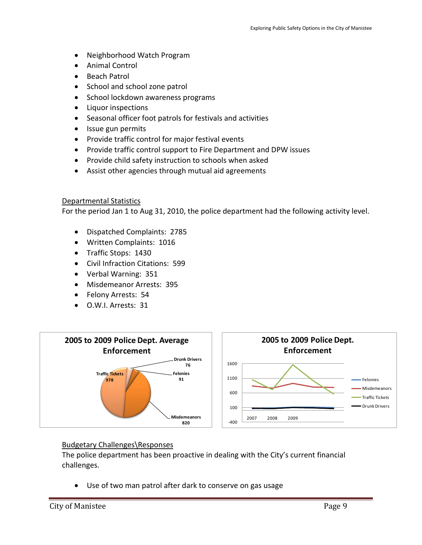- Neighborhood Watch Program
- Animal Control
- Beach Patrol
- School and school zone patrol
- School lockdown awareness programs
- Liquor inspections
- Seasonal officer foot patrols for festivals and activities
- Issue gun permits
- Provide traffic control for major festival events
- Provide traffic control support to Fire Department and DPW issues
- Provide child safety instruction to schools when asked
- Assist other agencies through mutual aid agreements

#### Departmental Statistics

For the period Jan 1 to Aug 31, 2010, the police department had the following activity level.

- Dispatched Complaints: 2785
- Written Complaints: 1016
- Traffic Stops: 1430
- Civil Infraction Citations: 599
- Verbal Warning: 351
- Misdemeanor Arrests: 395
- Felony Arrests: 54
- O.W.I. Arrests: 31



#### Budgetary Challenges\Responses

The police department has been proactive in dealing with the City's current financial challenges.

• Use of two man patrol after dark to conserve on gas usage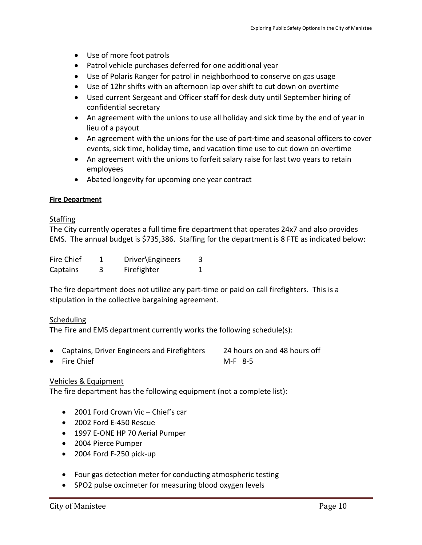- Use of more foot patrols
- Patrol vehicle purchases deferred for one additional year
- Use of Polaris Ranger for patrol in neighborhood to conserve on gas usage
- Use of 12hr shifts with an afternoon lap over shift to cut down on overtime
- Used current Sergeant and Officer staff for desk duty until September hiring of confidential secretary
- An agreement with the unions to use all holiday and sick time by the end of year in lieu of a payout
- An agreement with the unions for the use of part-time and seasonal officers to cover events, sick time, holiday time, and vacation time use to cut down on overtime
- An agreement with the unions to forfeit salary raise for last two years to retain employees
- Abated longevity for upcoming one year contract

#### **Fire Department**

#### **Staffing**

The City currently operates a full time fire department that operates 24x7 and also provides EMS. The annual budget is \$735,386. Staffing for the department is 8 FTE as indicated below:

| Fire Chief | Driver\Engineers |  |
|------------|------------------|--|
| Captains   | Firefighter      |  |

The fire department does not utilize any part-time or paid on call firefighters. This is a stipulation in the collective bargaining agreement.

#### **Scheduling**

The Fire and EMS department currently works the following schedule(s):

- Captains, Driver Engineers and Firefighters 24 hours on and 48 hours off
- Fire Chief M-F 8-5

Vehicles & Equipment

The fire department has the following equipment (not a complete list):

- 2001 Ford Crown Vic Chief's car
- 2002 Ford E-450 Rescue
- 1997 E-ONE HP 70 Aerial Pumper
- 2004 Pierce Pumper
- 2004 Ford F-250 pick-up
- Four gas detection meter for conducting atmospheric testing
- SPO2 pulse oxcimeter for measuring blood oxygen levels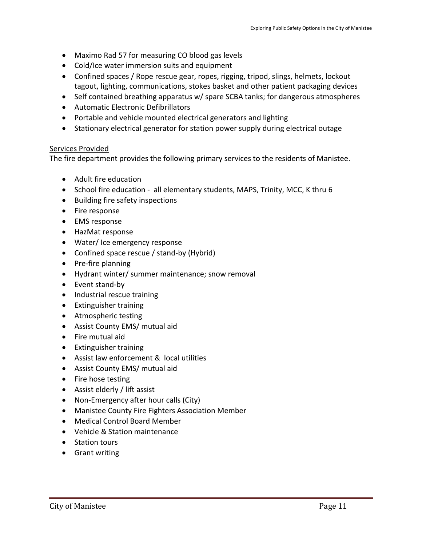- Maximo Rad 57 for measuring CO blood gas levels
- Cold/Ice water immersion suits and equipment
- Confined spaces / Rope rescue gear, ropes, rigging, tripod, slings, helmets, lockout tagout, lighting, communications, stokes basket and other patient packaging devices
- Self contained breathing apparatus w/ spare SCBA tanks; for dangerous atmospheres
- Automatic Electronic Defibrillators
- Portable and vehicle mounted electrical generators and lighting
- Stationary electrical generator for station power supply during electrical outage

#### Services Provided

The fire department provides the following primary services to the residents of Manistee.

- Adult fire education
- School fire education all elementary students, MAPS, Trinity, MCC, K thru 6
- Building fire safety inspections
- Fire response
- EMS response
- HazMat response
- Water/ Ice emergency response
- Confined space rescue / stand-by (Hybrid)
- Pre-fire planning
- Hydrant winter/ summer maintenance; snow removal
- Event stand-by
- Industrial rescue training
- Extinguisher training
- Atmospheric testing
- Assist County EMS/ mutual aid
- Fire mutual aid
- Extinguisher training
- Assist law enforcement & local utilities
- Assist County EMS/ mutual aid
- Fire hose testing
- Assist elderly / lift assist
- Non-Emergency after hour calls (City)
- Manistee County Fire Fighters Association Member
- Medical Control Board Member
- Vehicle & Station maintenance
- Station tours
- Grant writing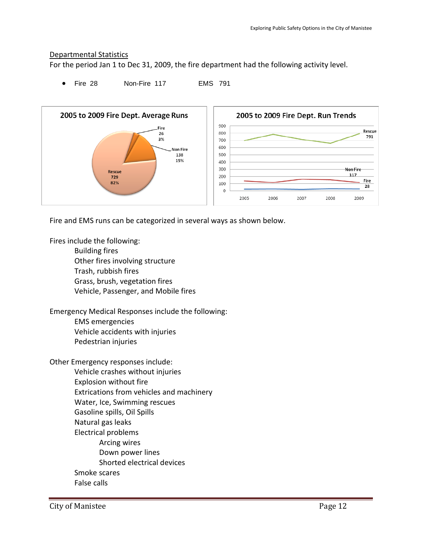#### Departmental Statistics

For the period Jan 1 to Dec 31, 2009, the fire department had the following activity level.

• Fire 28 Non-Fire 117 EMS 791



Fire and EMS runs can be categorized in several ways as shown below.

Fires include the following: Building fires Other fires involving structure Trash, rubbish fires Grass, brush, vegetation fires Vehicle, Passenger, and Mobile fires

Emergency Medical Responses include the following:

EMS emergencies Vehicle accidents with injuries

Pedestrian injuries

Other Emergency responses include: Vehicle crashes without injuries Explosion without fire Extrications from vehicles and machinery Water, Ice, Swimming rescues Gasoline spills, Oil Spills Natural gas leaks Electrical problems Arcing wires Down power lines Shorted electrical devices Smoke scares False calls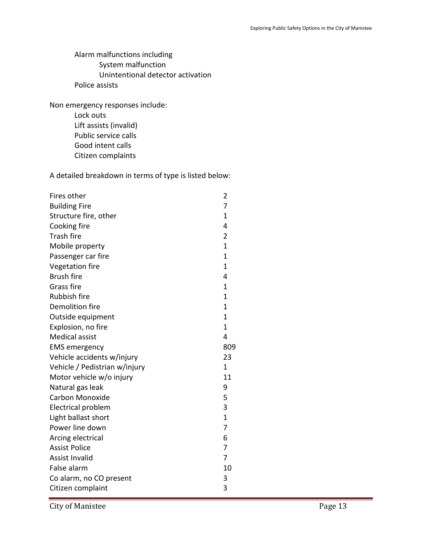Alarm malfunctions including System malfunction Unintentional detector activation Police assists

Non emergency responses include: Lock outs Lift assists (invalid)

Public service calls Good intent calls

Citizen complaints

A detailed breakdown in terms of type is listed below:

| Fires other                   | 2              |
|-------------------------------|----------------|
| <b>Building Fire</b>          | 7              |
| Structure fire, other         | 1              |
| Cooking fire                  | 4              |
| <b>Trash fire</b>             | 2              |
| Mobile property               | $\overline{1}$ |
| Passenger car fire            | 1              |
| Vegetation fire               | 1              |
| <b>Brush fire</b>             | 4              |
| Grass fire                    | 1              |
| <b>Rubbish fire</b>           | 1              |
| Demolition fire               | 1              |
| Outside equipment             | $\mathbf{1}$   |
| Explosion, no fire            | 1              |
| <b>Medical assist</b>         | 4              |
| <b>EMS</b> emergency          | 809            |
| Vehicle accidents w/injury    | 23             |
| Vehicle / Pedistrian w/injury | 1              |
| Motor vehicle w/o injury      | 11             |
| Natural gas leak              | 9              |
| Carbon Monoxide               | 5              |
| Electrical problem            | 3              |
| Light ballast short           | $\overline{1}$ |
| Power line down               | 7              |
| Arcing electrical             | 6              |
| <b>Assist Police</b>          | 7              |
| <b>Assist Invalid</b>         | 7              |
| False alarm                   | 10             |
| Co alarm, no CO present       | 3              |
| Citizen complaint             | 3              |

City of Manistee Page 13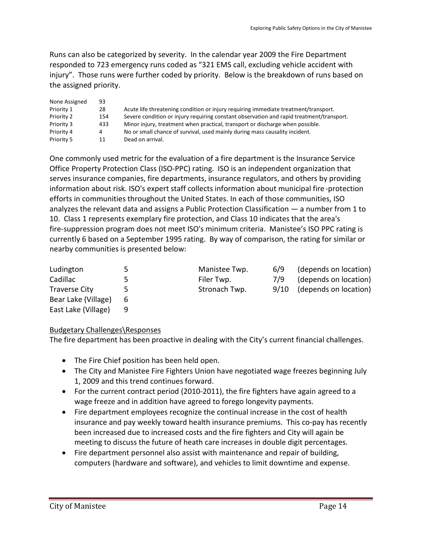Runs can also be categorized by severity. In the calendar year 2009 the Fire Department responded to 723 emergency runs coded as "321 EMS call, excluding vehicle accident with injury". Those runs were further coded by priority. Below is the breakdown of runs based on the assigned priority.

| None Assigned | 93  |                                                                                          |
|---------------|-----|------------------------------------------------------------------------------------------|
| Priority 1    | 28  | Acute life threatening condition or injury requiring immediate treatment/transport.      |
| Priority 2    | 154 | Severe condition or injury requiring constant observation and rapid treatment/transport. |
| Priority 3    | 433 | Minor injury, treatment when practical, transport or discharge when possible.            |
| Priority 4    | 4   | No or small chance of survival, used mainly during mass causality incident.              |
| Priority 5    | 11  | Dead on arrival.                                                                         |

One commonly used metric for the evaluation of a fire department is the Insurance Service Office Property Protection Class (ISO-PPC) rating. ISO is an independent organization that serves insurance companies, fire departments, insurance regulators, and others by providing information about risk. ISO's expert staff collects information about municipal fire -protection efforts in communities throughout the United States. In each of those communities, ISO analyzes the relevant data and assigns a Public Protection Classification — a number from 1 to 10. Class 1 represents exemplary fire protection, and Class 10 indicates that the area's fire-suppression program does not meet ISO's minimum criteria. Manistee's ISO PPC rating is currently 6 based on a September 1995 rating. By way of comparison, the rating for similar or nearby communities is presented below:

| Ludington            | כ  | Manistee Twp. | 6/9  | (depends on location) |
|----------------------|----|---------------|------|-----------------------|
| Cadillac             | 5. | Filer Twp.    | 7/9  | (depends on location) |
| <b>Traverse City</b> | 5. | Stronach Twp. | 9/10 | (depends on location) |
| Bear Lake (Village)  | 6  |               |      |                       |
| East Lake (Village)  | q  |               |      |                       |

#### Budgetary Challenges\Responses

The fire department has been proactive in dealing with the City's current financial challenges.

- The Fire Chief position has been held open.
- The City and Manistee Fire Fighters Union have negotiated wage freezes beginning July 1, 2009 and this trend continues forward.
- For the current contract period (2010-2011), the fire fighters have again agreed to a wage freeze and in addition have agreed to forego longevity payments.
- Fire department employees recognize the continual increase in the cost of health insurance and pay weekly toward health insurance premiums. This co-pay has recently been increased due to increased costs and the fire fighters and City will again be meeting to discuss the future of heath care increases in double digit percentages.
- Fire department personnel also assist with maintenance and repair of building, computers (hardware and software), and vehicles to limit downtime and expense.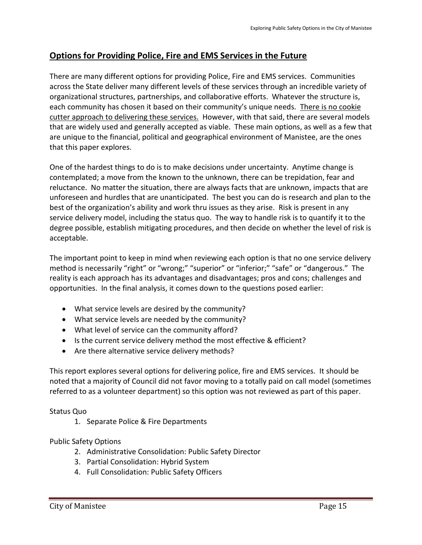# **Options for Providing Police, Fire and EMS Services in the Future**

There are many different options for providing Police, Fire and EMS services. Communities across the State deliver many different levels of these services through an incredible variety of organizational structures, partnerships, and collaborative efforts. Whatever the structure is, each community has chosen it based on their community's unique needs. There is no cookie cutter approach to delivering these services. However, with that said, there are several models that are widely used and generally accepted as viable. These main options, as well as a few that are unique to the financial, political and geographical environment of Manistee, are the ones that this paper explores.

One of the hardest things to do is to make decisions under uncertainty. Anytime change is contemplated; a move from the known to the unknown, there can be trepidation, fear and reluctance. No matter the situation, there are always facts that are unknown, impacts that are unforeseen and hurdles that are unanticipated. The best you can do is research and plan to the best of the organization's ability and work thru issues as they arise. Risk is present in any service delivery model, including the status quo. The way to handle risk is to quantify it to the degree possible, establish mitigating procedures, and then decide on whether the level of risk is acceptable.

The important point to keep in mind when reviewing each option is that no one service delivery method is necessarily "right" or "wrong;" "superior" or "inferior;" "safe" or "dangerous." The reality is each approach has its advantages and disadvantages; pros and cons; challenges and opportunities. In the final analysis, it comes down to the questions posed earlier:

- What service levels are desired by the community?
- What service levels are needed by the community?
- What level of service can the community afford?
- Is the current service delivery method the most effective & efficient?
- Are there alternative service delivery methods?

This report explores several options for delivering police, fire and EMS services. It should be noted that a majority of Council did not favor moving to a totally paid on call model (sometimes referred to as a volunteer department) so this option was not reviewed as part of this paper.

Status Quo

1. Separate Police & Fire Departments

### Public Safety Options

- 2. Administrative Consolidation: Public Safety Director
- 3. Partial Consolidation: Hybrid System
- 4. Full Consolidation: Public Safety Officers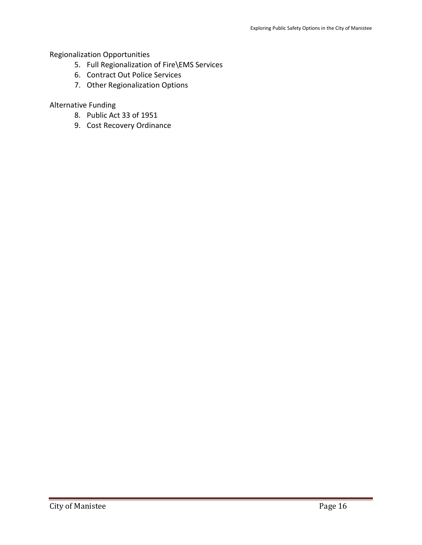#### Regionalization Opportunities

- 5. Full Regionalization of Fire\EMS Services
- 6. Contract Out Police Services
- 7. Other Regionalization Options

#### Alternative Funding

- 8. Public Act 33 of 1951
- 9. Cost Recovery Ordinance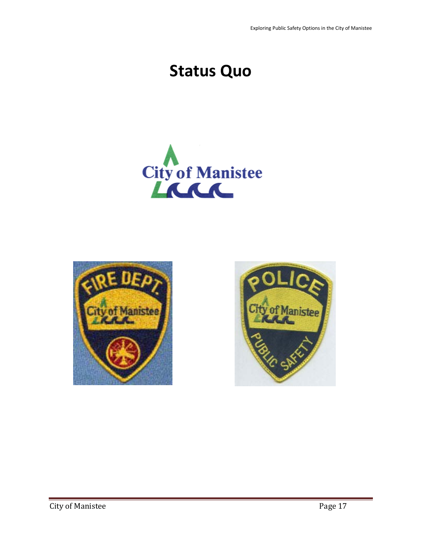Exploring Public Safety Options in the City of Manistee

# **Status Quo**





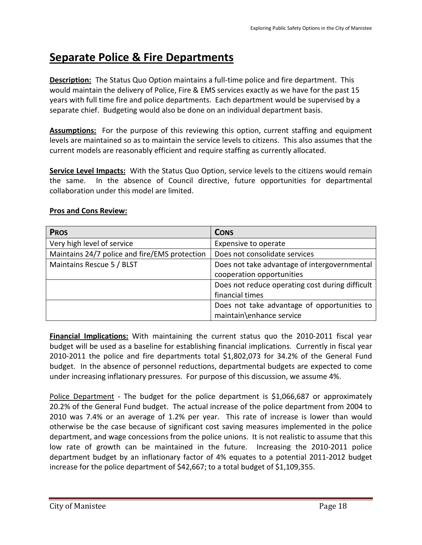# **Separate Police & Fire Departments**

**Description:** The Status Quo Option maintains a full-time police and fire department. This would maintain the delivery of Police, Fire & EMS services exactly as we have for the past 15 years with full time fire and police departments. Each department would be supervised by a separate chief. Budgeting would also be done on an individual department basis.

**Assumptions:** For the purpose of this reviewing this option, current staffing and equipment levels are maintained so as to maintain the service levels to citizens. This also assumes that the current models are reasonably efficient and require staffing as currently allocated.

**Service Level Impacts:** With the Status Quo Option, service levels to the citizens would remain the same. In the absence of Council directive, future opportunities for departmental collaboration under this model are limited.

| <b>PROS</b>                                   | <b>CONS</b>                                     |
|-----------------------------------------------|-------------------------------------------------|
| Very high level of service                    | Expensive to operate                            |
| Maintains 24/7 police and fire/EMS protection | Does not consolidate services                   |
| Maintains Rescue 5 / BLST                     | Does not take advantage of intergovernmental    |
|                                               | cooperation opportunities                       |
|                                               | Does not reduce operating cost during difficult |
|                                               | financial times                                 |
|                                               | Does not take advantage of opportunities to     |
|                                               | maintain\enhance service                        |

#### **Pros and Cons Review:**

**Financial Implications:** With maintaining the current status quo the 2010-2011 fiscal year budget will be used as a baseline for establishing financial implications. Currently in fiscal year 2010-2011 the police and fire departments total \$1,802,073 for 34.2% of the General Fund budget. In the absence of personnel reductions, departmental budgets are expected to come under increasing inflationary pressures. For purpose of this discussion, we assume 4%.

Police Department - The budget for the police department is \$1,066,687 or approximately 20.2% of the General Fund budget. The actual increase of the police department from 2004 to 2010 was 7.4% or an average of 1.2% per year. This rate of increase is lower than would otherwise be the case because of significant cost saving measures implemented in the police department, and wage concessions from the police unions. It is not realistic to assume that this low rate of growth can be maintained in the future. Increasing the 2010-2011 police department budget by an inflationary factor of 4% equates to a potential 2011-2012 budget increase for the police department of \$42,667; to a total budget of \$1,109,355.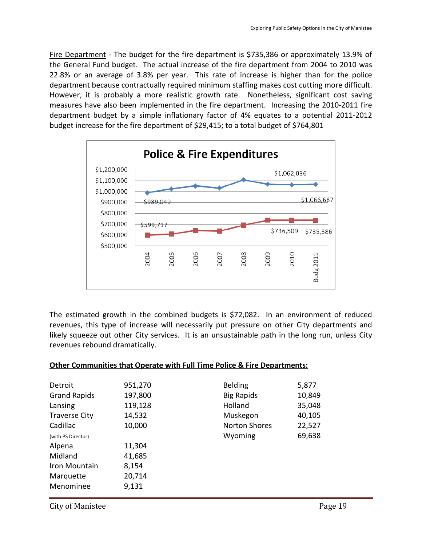Fire Department - The budget for the fire department is \$735,386 or approximately 13.9% of the General Fund budget. The actual increase of the fire department from 2004 to 2010 was 22.8% or an average of 3.8% per year. This rate of increase is higher than for the police department because contractually required minimum staffing makes cost cutting more difficult. However, it is probably a more realistic growth rate. Nonetheless, significant cost saving measures have also been implemented in the fire department. Increasing the 2010-2011 fire department budget by a simple inflationary factor of 4% equates to a potential 2011-2012 budget increase for the fire department of \$29,415; to a total budget of \$764,801



The estimated growth in the combined budgets is \$72,082. In an environment of reduced revenues, this type of increase will necessarily put pressure on other City departments and likely squeeze out other City services. It is an unsustainable path in the long run, unless City revenues rebound dramatically.

| Other Communities that Operate with Full Time Police & Fire Departments: |                      |        |
|--------------------------------------------------------------------------|----------------------|--------|
|                                                                          |                      |        |
| 951,270                                                                  | <b>Belding</b>       | 5,877  |
| 197,800                                                                  | <b>Big Rapids</b>    | 10,849 |
| 119,128                                                                  | Holland              | 35,048 |
| 14,532                                                                   | Muskegon             | 40,105 |
| 10,000                                                                   | <b>Norton Shores</b> | 22,527 |
|                                                                          | Wyoming              | 69,638 |
| 11,304                                                                   |                      |        |
| 41,685                                                                   |                      |        |
| 8,154                                                                    |                      |        |
| 20,714                                                                   |                      |        |
| 9,131                                                                    |                      |        |
|                                                                          |                      |        |

#### **Other Communities that Operate with Full Time Police & Fire Departments:**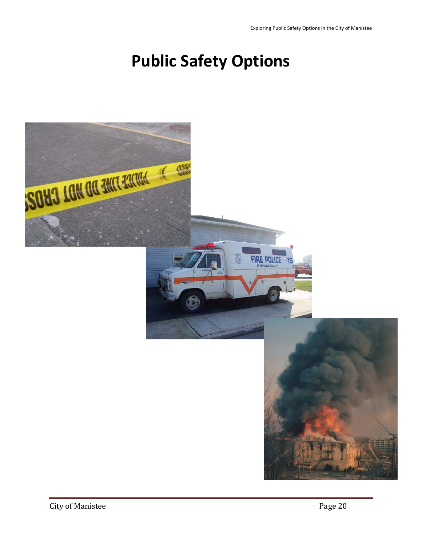# **Public Safety Options**

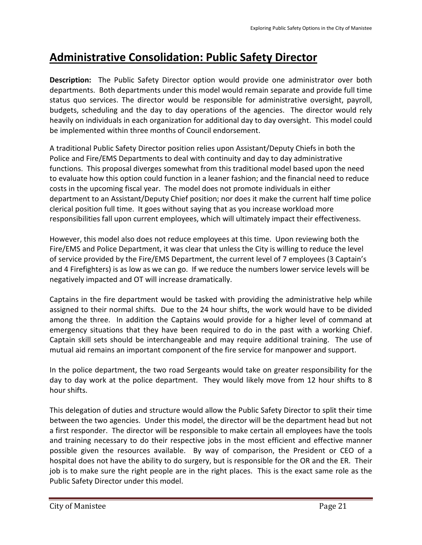# **Administrative Consolidation: Public Safety Director**

**Description:** The Public Safety Director option would provide one administrator over both departments. Both departments under this model would remain separate and provide full time status quo services. The director would be responsible for administrative oversight, payroll, budgets, scheduling and the day to day operations of the agencies. The director would rely heavily on individuals in each organization for additional day to day oversight. This model could be implemented within three months of Council endorsement.

A traditional Public Safety Director position relies upon Assistant/Deputy Chiefs in both the Police and Fire/EMS Departments to deal with continuity and day to day administrative functions. This proposal diverges somewhat from this traditional model based upon the need to evaluate how this option could function in a leaner fashion; and the financial need to reduce costs in the upcoming fiscal year. The model does not promote individuals in either department to an Assistant/Deputy Chief position; nor does it make the current half time police clerical position full time. It goes without saying that as you increase workload more responsibilities fall upon current employees, which will ultimately impact their effectiveness.

However, this model also does not reduce employees at this time. Upon reviewing both the Fire/EMS and Police Department, it was clear that unless the City is willing to reduce the level of service provided by the Fire/EMS Department, the current level of 7 employees (3 Captain's and 4 Firefighters) is as low as we can go. If we reduce the numbers lower service levels will be negatively impacted and OT will increase dramatically.

Captains in the fire department would be tasked with providing the administrative help while assigned to their normal shifts. Due to the 24 hour shifts, the work would have to be divided among the three. In addition the Captains would provide for a higher level of command at emergency situations that they have been required to do in the past with a working Chief. Captain skill sets should be interchangeable and may require additional training. The use of mutual aid remains an important component of the fire service for manpower and support.

In the police department, the two road Sergeants would take on greater responsibility for the day to day work at the police department. They would likely move from 12 hour shifts to 8 hour shifts.

This delegation of duties and structure would allow the Public Safety Director to split their time between the two agencies. Under this model, the director will be the department head but not a first responder. The director will be responsible to make certain all employees have the tools and training necessary to do their respective jobs in the most efficient and effective manner possible given the resources available. By way of comparison, the President or CEO of a hospital does not have the ability to do surgery, but is responsible for the OR and the ER. Their job is to make sure the right people are in the right places. This is the exact same role as the Public Safety Director under this model.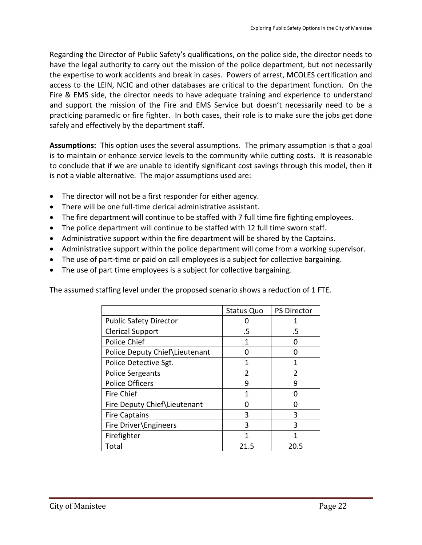Regarding the Director of Public Safety's qualifications, on the police side, the director needs to have the legal authority to carry out the mission of the police department, but not necessarily the expertise to work accidents and break in cases. Powers of arrest, MCOLES certification and access to the LEIN, NCIC and other databases are critical to the department function. On the Fire & EMS side, the director needs to have adequate training and experience to understand and support the mission of the Fire and EMS Service but doesn't necessarily need to be a practicing paramedic or fire fighter. In both cases, their role is to make sure the jobs get done safely and effectively by the department staff.

**Assumptions:** This option uses the several assumptions. The primary assumption is that a goal is to maintain or enhance service levels to the community while cutting costs. It is reasonable to conclude that if we are unable to identify significant cost savings through this model, then it is not a viable alternative. The major assumptions used are:

- The director will not be a first responder for either agency.
- There will be one full-time clerical administrative assistant.
- The fire department will continue to be staffed with 7 full time fire fighting employees.
- The police department will continue to be staffed with 12 full time sworn staff.
- Administrative support within the fire department will be shared by the Captains.
- Administrative support within the police department will come from a working supervisor.
- The use of part-time or paid on call employees is a subject for collective bargaining.
- The use of part time employees is a subject for collective bargaining.

The assumed staffing level under the proposed scenario shows a reduction of 1 FTE.

|                                | <b>Status Quo</b> | <b>PS Director</b> |
|--------------------------------|-------------------|--------------------|
| <b>Public Safety Director</b>  |                   |                    |
| <b>Clerical Support</b>        | .5                | .5                 |
| Police Chief                   | 1                 |                    |
| Police Deputy Chief Lieutenant |                   |                    |
| Police Detective Sgt.          |                   |                    |
| <b>Police Sergeants</b>        | 2                 | $\mathfrak z$      |
| <b>Police Officers</b>         | ٩                 | q                  |
| <b>Fire Chief</b>              |                   |                    |
| Fire Deputy Chief\Lieutenant   |                   |                    |
| <b>Fire Captains</b>           | 3                 | ς                  |
| Fire Driver\Engineers          | ξ                 | ς                  |
| Firefighter                    | 1                 |                    |
| Total                          | 21.5              | 20.5               |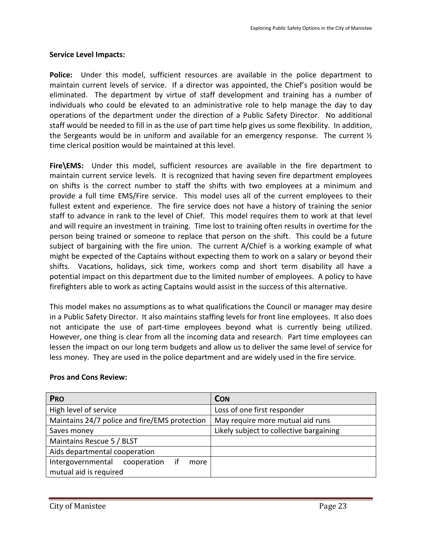### **Service Level Impacts:**

**Police:** Under this model, sufficient resources are available in the police department to maintain current levels of service. If a director was appointed, the Chief's position would be eliminated. The department by virtue of staff development and training has a number of individuals who could be elevated to an administrative role to help manage the day to day operations of the department under the direction of a Public Safety Director. No additional staff would be needed to fill in as the use of part time help gives us some flexibility. In addition, the Sergeants would be in uniform and available for an emergency response. The current  $\mathcal{V}_2$ time clerical position would be maintained at this level.

**Fire\EMS:** Under this model, sufficient resources are available in the fire department to maintain current service levels. It is recognized that having seven fire department employees on shifts is the correct number to staff the shifts with two employees at a minimum and provide a full time EMS/Fire service. This model uses all of the current employees to their fullest extent and experience. The fire service does not have a history of training the senior staff to advance in rank to the level of Chief. This model requires them to work at that level and will require an investment in training. Time lost to training often results in overtime for the person being trained or someone to replace that person on the shift. This could be a future subject of bargaining with the fire union. The current A/Chief is a working example of what might be expected of the Captains without expecting them to work on a salary or beyond their shifts. Vacations, holidays, sick time, workers comp and short term disability all have a potential impact on this department due to the limited number of employees. A policy to have firefighters able to work as acting Captains would assist in the success of this alternative.

This model makes no assumptions as to what qualifications the Council or manager may desire in a Public Safety Director. It also maintains staffing levels for front line employees. It also does not anticipate the use of part-time employees beyond what is currently being utilized. However, one thing is clear from all the incoming data and research. Part time employees can lessen the impact on our long term budgets and allow us to deliver the same level of service for less money. They are used in the police department and are widely used in the fire service.

| <b>PRO</b>                                     | <b>CON</b>                              |
|------------------------------------------------|-----------------------------------------|
| High level of service                          | Loss of one first responder             |
| Maintains 24/7 police and fire/EMS protection  | May require more mutual aid runs        |
| Saves money                                    | Likely subject to collective bargaining |
| Maintains Rescue 5 / BLST                      |                                         |
| Aids departmental cooperation                  |                                         |
| Intergovernmental<br>if<br>cooperation<br>more |                                         |
| mutual aid is required                         |                                         |

### **Pros and Cons Review:**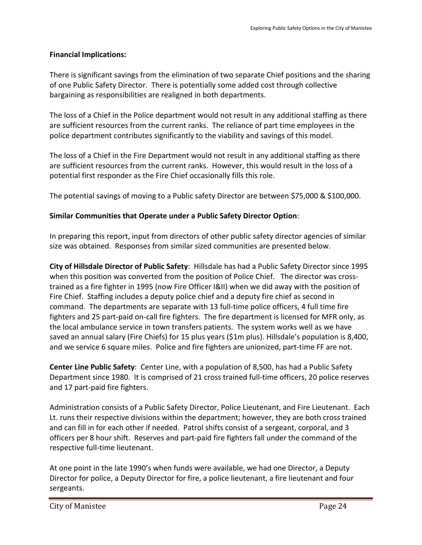### **Financial Implications:**

There is significant savings from the elimination of two separate Chief positions and the sharing of one Public Safety Director. There is potentially some added cost through collective bargaining as responsibilities are realigned in both departments.

The loss of a Chief in the Police department would not result in any additional staffing as there are sufficient resources from the current ranks. The reliance of part time employees in the police department contributes significantly to the viability and savings of this model.

The loss of a Chief in the Fire Department would not result in any additional staffing as there are sufficient resources from the current ranks. However, this would result in the loss of a potential first responder as the Fire Chief occasionally fills this role.

The potential savings of moving to a Public safety Director are between \$75,000 & \$100,000.

### **Similar Communities that Operate under a Public Safety Director Option**:

In preparing this report, input from directors of other public safety director agencies of similar size was obtained. Responses from similar sized communities are presented below.

**City of Hillsdale Director of Public Safety**: Hillsdale has had a Public Safety Director since 1995 when this position was converted from the position of Police Chief. The director was crosstrained as a fire fighter in 1995 (now Fire Officer I&II) when we did away with the position of Fire Chief. Staffing includes a deputy police chief and a deputy fire chief as second in command. The departments are separate with 13 full-time police officers, 4 full time fire fighters and 25 part-paid on-call fire fighters. The fire department is licensed for MFR only, as the local ambulance service in town transfers patients. The system works well as we have saved an annual salary (Fire Chiefs) for 15 plus years (\$1m plus). Hillsdale's population is 8,400, and we service 6 square miles. Police and fire fighters are unionized, part-time FF are not.

**Center Line Public Safety**: Center Line, with a population of 8,500, has had a Public Safety Department since 1980. It is comprised of 21 cross trained full-time officers, 20 police reserves and 17 part-paid fire fighters.

Administration consists of a Public Safety Director, Police Lieutenant, and Fire Lieutenant. Each Lt. runs their respective divisions within the department; however, they are both cross trained and can fill in for each other if needed. Patrol shifts consist of a sergeant, corporal, and 3 officers per 8 hour shift. Reserves and part-paid fire fighters fall under the command of the respective full-time lieutenant.

At one point in the late 1990's when funds were available, we had one Director, a Deputy Director for police, a Deputy Director for fire, a police lieutenant, a fire lieutenant and four sergeants.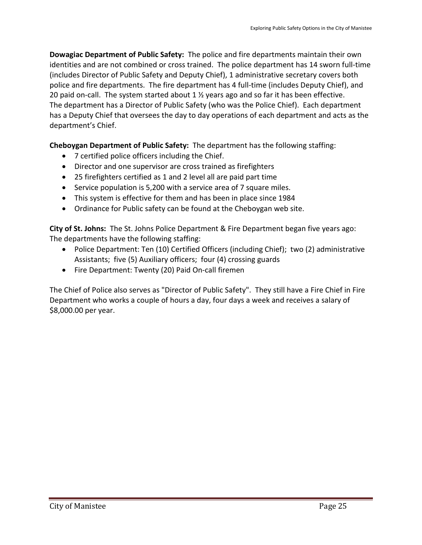**Dowagiac Department of Public Safety:** The police and fire departments maintain their own identities and are not combined or cross trained. The police department has 14 sworn full-time (includes Director of Public Safety and Deputy Chief), 1 administrative secretary covers both police and fire departments. The fire department has 4 full-time (includes Deputy Chief), and 20 paid on-call. The system started about 1 ½ years ago and so far it has been effective. The department has a Director of Public Safety (who was the Police Chief). Each department has a Deputy Chief that oversees the day to day operations of each department and acts as the department's Chief.

**Cheboygan Department of Public Safety:** The department has the following staffing:

- 7 certified police officers including the Chief.
- Director and one supervisor are cross trained as firefighters
- 25 firefighters certified as 1 and 2 level all are paid part time
- Service population is 5,200 with a service area of 7 square miles.
- This system is effective for them and has been in place since 1984
- Ordinance for Public safety can be found at the Cheboygan web site.

**City of St. Johns:** The St. Johns Police Department & Fire Department began five years ago: The departments have the following staffing:

- Police Department: Ten (10) Certified Officers (including Chief); two (2) administrative Assistants; five (5) Auxiliary officers; four (4) crossing guards
- Fire Department: Twenty (20) Paid On-call firemen

The Chief of Police also serves as "Director of Public Safety". They still have a Fire Chief in Fire Department who works a couple of hours a day, four days a week and receives a salary of \$8,000.00 per year.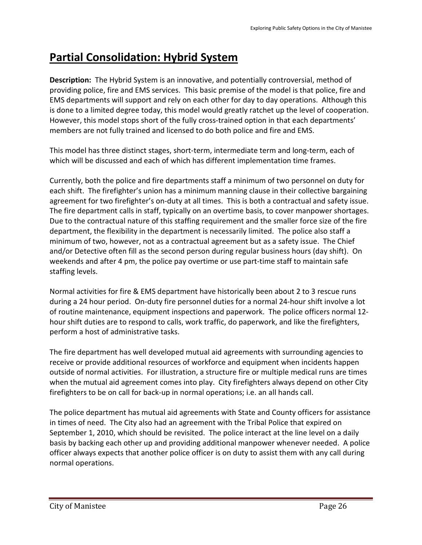# **Partial Consolidation: Hybrid System**

**Description:** The Hybrid System is an innovative, and potentially controversial, method of providing police, fire and EMS services. This basic premise of the model is that police, fire and EMS departments will support and rely on each other for day to day operations. Although this is done to a limited degree today, this model would greatly ratchet up the level of cooperation. However, this model stops short of the fully cross-trained option in that each departments' members are not fully trained and licensed to do both police and fire and EMS.

This model has three distinct stages, short-term, intermediate term and long-term, each of which will be discussed and each of which has different implementation time frames.

Currently, both the police and fire departments staff a minimum of two personnel on duty for each shift. The firefighter's union has a minimum manning clause in their collective bargaining agreement for two firefighter's on-duty at all times. This is both a contractual and safety issue. The fire department calls in staff, typically on an overtime basis, to cover manpower shortages. Due to the contractual nature of this staffing requirement and the smaller force size of the fire department, the flexibility in the department is necessarily limited. The police also staff a minimum of two, however, not as a contractual agreement but as a safety issue. The Chief and/or Detective often fill as the second person during regular business hours (day shift). On weekends and after 4 pm, the police pay overtime or use part-time staff to maintain safe staffing levels.

Normal activities for fire & EMS department have historically been about 2 to 3 rescue runs during a 24 hour period. On-duty fire personnel duties for a normal 24-hour shift involve a lot of routine maintenance, equipment inspections and paperwork. The police officers normal 12 hour shift duties are to respond to calls, work traffic, do paperwork, and like the firefighters, perform a host of administrative tasks.

The fire department has well developed mutual aid agreements with surrounding agencies to receive or provide additional resources of workforce and equipment when incidents happen outside of normal activities. For illustration, a structure fire or multiple medical runs are times when the mutual aid agreement comes into play. City firefighters always depend on other City firefighters to be on call for back-up in normal operations; i.e. an all hands call.

The police department has mutual aid agreements with State and County officers for assistance in times of need. The City also had an agreement with the Tribal Police that expired on September 1, 2010, which should be revisited. The police interact at the line level on a daily basis by backing each other up and providing additional manpower whenever needed. A police officer always expects that another police officer is on duty to assist them with any call during normal operations.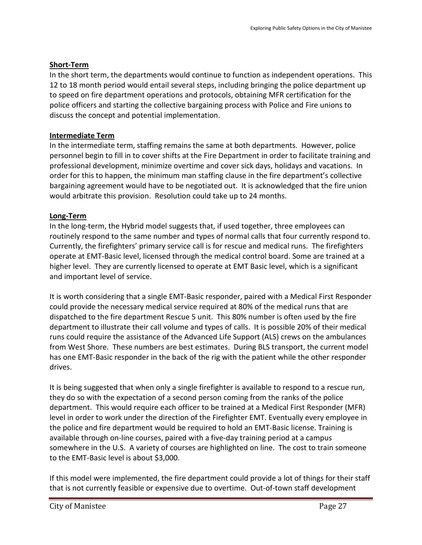## **Short-Term**

In the short term, the departments would continue to function as independent operations. This 12 to 18 month period would entail several steps, including bringing the police department up to speed on fire department operations and protocols, obtaining MFR certification for the police officers and starting the collective bargaining process with Police and Fire unions to discuss the concept and potential implementation.

# **Intermediate Term**

In the intermediate term, staffing remains the same at both departments. However, police personnel begin to fill in to cover shifts at the Fire Department in order to facilitate training and professional development, minimize overtime and cover sick days, holidays and vacations. In order for this to happen, the minimum man staffing clause in the fire department's collective bargaining agreement would have to be negotiated out. It is acknowledged that the fire union would arbitrate this provision. Resolution could take up to 24 months.

# **Long-Term**

In the long-term, the Hybrid model suggests that, if used together, three employees can routinely respond to the same number and types of normal calls that four currently respond to. Currently, the firefighters' primary service call is for rescue and medical runs. The firefighters operate at EMT-Basic level, licensed through the medical control board. Some are trained at a higher level. They are currently licensed to operate at EMT Basic level, which is a significant and important level of service.

It is worth considering that a single EMT-Basic responder, paired with a Medical First Responder could provide the necessary medical service required at 80% of the medical runs that are dispatched to the fire department Rescue 5 unit. This 80% number is often used by the fire department to illustrate their call volume and types of calls. It is possible 20% of their medical runs could require the assistance of the Advanced Life Support (ALS) crews on the ambulances from West Shore. These numbers are best estimates. During BLS transport, the current model has one EMT-Basic responder in the back of the rig with the patient while the other responder drives.

It is being suggested that when only a single firefighter is available to respond to a rescue run, they do so with the expectation of a second person coming from the ranks of the police department. This would require each officer to be trained at a Medical First Responder (MFR) level in order to work under the direction of the Firefighter EMT. Eventually every employee in the police and fire department would be required to hold an EMT-Basic license. Training is available through on-line courses, paired with a five-day training period at a campus somewhere in the U.S. A variety of courses are highlighted on line. The cost to train someone to the EMT-Basic level is about \$3,000.

If this model were implemented, the fire department could provide a lot of things for their staff that is not currently feasible or expensive due to overtime. Out-of-town staff development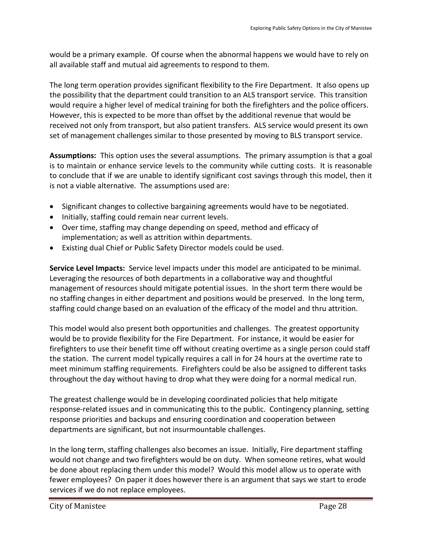would be a primary example. Of course when the abnormal happens we would have to rely on all available staff and mutual aid agreements to respond to them.

The long term operation provides significant flexibility to the Fire Department. It also opens up the possibility that the department could transition to an ALS transport service. This transition would require a higher level of medical training for both the firefighters and the police officers. However, this is expected to be more than offset by the additional revenue that would be received not only from transport, but also patient transfers. ALS service would present its own set of management challenges similar to those presented by moving to BLS transport service.

**Assumptions:** This option uses the several assumptions. The primary assumption is that a goal is to maintain or enhance service levels to the community while cutting costs. It is reasonable to conclude that if we are unable to identify significant cost savings through this model, then it is not a viable alternative. The assumptions used are:

- Significant changes to collective bargaining agreements would have to be negotiated.
- Initially, staffing could remain near current levels.
- Over time, staffing may change depending on speed, method and efficacy of implementation; as well as attrition within departments.
- Existing dual Chief or Public Safety Director models could be used.

**Service Level Impacts:** Service level impacts under this model are anticipated to be minimal. Leveraging the resources of both departments in a collaborative way and thoughtful management of resources should mitigate potential issues. In the short term there would be no staffing changes in either department and positions would be preserved. In the long term, staffing could change based on an evaluation of the efficacy of the model and thru attrition.

This model would also present both opportunities and challenges. The greatest opportunity would be to provide flexibility for the Fire Department. For instance, it would be easier for firefighters to use their benefit time off without creating overtime as a single person could staff the station. The current model typically requires a call in for 24 hours at the overtime rate to meet minimum staffing requirements. Firefighters could be also be assigned to different tasks throughout the day without having to drop what they were doing for a normal medical run.

The greatest challenge would be in developing coordinated policies that help mitigate response-related issues and in communicating this to the public. Contingency planning, setting response priorities and backups and ensuring coordination and cooperation between departments are significant, but not insurmountable challenges.

In the long term, staffing challenges also becomes an issue. Initially, Fire department staffing would not change and two firefighters would be on duty. When someone retires, what would be done about replacing them under this model? Would this model allow us to operate with fewer employees? On paper it does however there is an argument that says we start to erode services if we do not replace employees.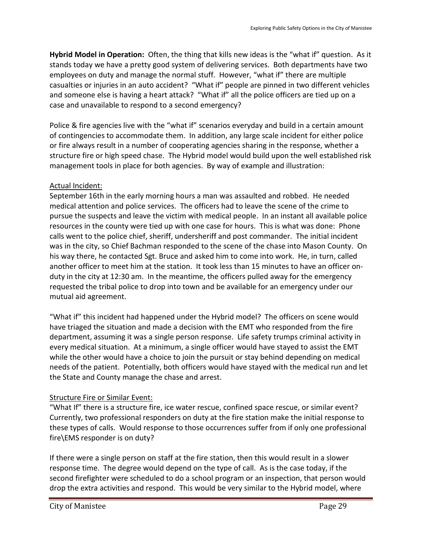**Hybrid Model in Operation:** Often, the thing that kills new ideas is the "what if" question. As it stands today we have a pretty good system of delivering services. Both departments have two employees on duty and manage the normal stuff. However, "what if" there are multiple casualties or injuries in an auto accident? "What if" people are pinned in two different vehicles and someone else is having a heart attack? "What if" all the police officers are tied up on a case and unavailable to respond to a second emergency?

Police & fire agencies live with the "what if" scenarios everyday and build in a certain amount of contingencies to accommodate them. In addition, any large scale incident for either police or fire always result in a number of cooperating agencies sharing in the response, whether a structure fire or high speed chase. The Hybrid model would build upon the well established risk management tools in place for both agencies. By way of example and illustration:

### Actual Incident:

September 16th in the early morning hours a man was assaulted and robbed. He needed medical attention and police services. The officers had to leave the scene of the crime to pursue the suspects and leave the victim with medical people. In an instant all available police resources in the county were tied up with one case for hours. This is what was done: Phone calls went to the police chief, sheriff, undersheriff and post commander. The initial incident was in the city, so Chief Bachman responded to the scene of the chase into Mason County. On his way there, he contacted Sgt. Bruce and asked him to come into work. He, in turn, called another officer to meet him at the station. It took less than 15 minutes to have an officer onduty in the city at 12:30 am. In the meantime, the officers pulled away for the emergency requested the tribal police to drop into town and be available for an emergency under our mutual aid agreement.

"What if" this incident had happened under the Hybrid model? The officers on scene would have triaged the situation and made a decision with the EMT who responded from the fire department, assuming it was a single person response. Life safety trumps criminal activity in every medical situation. At a minimum, a single officer would have stayed to assist the EMT while the other would have a choice to join the pursuit or stay behind depending on medical needs of the patient. Potentially, both officers would have stayed with the medical run and let the State and County manage the chase and arrest.

# Structure Fire or Similar Event:

"What If" there is a structure fire, ice water rescue, confined space rescue, or similar event? Currently, two professional responders on duty at the fire station make the initial response to these types of calls. Would response to those occurrences suffer from if only one professional fire\EMS responder is on duty?

If there were a single person on staff at the fire station, then this would result in a slower response time. The degree would depend on the type of call. As is the case today, if the second firefighter were scheduled to do a school program or an inspection, that person would drop the extra activities and respond. This would be very similar to the Hybrid model, where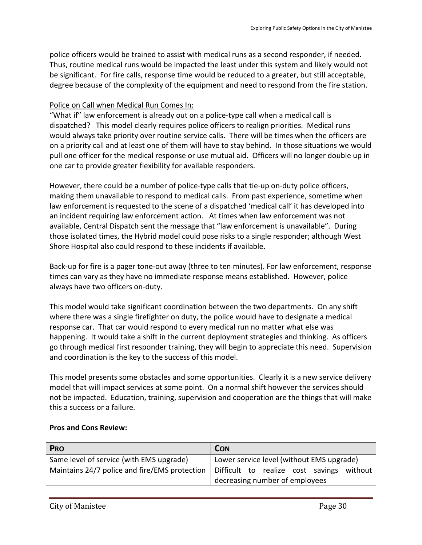police officers would be trained to assist with medical runs as a second responder, if needed. Thus, routine medical runs would be impacted the least under this system and likely would not be significant. For fire calls, response time would be reduced to a greater, but still acceptable, degree because of the complexity of the equipment and need to respond from the fire station.

### Police on Call when Medical Run Comes In:

"What if" law enforcement is already out on a police-type call when a medical call is dispatched? This model clearly requires police officers to realign priorities. Medical runs would always take priority over routine service calls. There will be times when the officers are on a priority call and at least one of them will have to stay behind. In those situations we would pull one officer for the medical response or use mutual aid. Officers will no longer double up in one car to provide greater flexibility for available responders.

However, there could be a number of police-type calls that tie-up on-duty police officers, making them unavailable to respond to medical calls. From past experience, sometime when law enforcement is requested to the scene of a dispatched 'medical call' it has developed into an incident requiring law enforcement action. At times when law enforcement was not available, Central Dispatch sent the message that "law enforcement is unavailable". During those isolated times, the Hybrid model could pose risks to a single responder; although West Shore Hospital also could respond to these incidents if available.

Back-up for fire is a pager tone-out away (three to ten minutes). For law enforcement, response times can vary as they have no immediate response means established. However, police always have two officers on-duty.

This model would take significant coordination between the two departments. On any shift where there was a single firefighter on duty, the police would have to designate a medical response car. That car would respond to every medical run no matter what else was happening. It would take a shift in the current deployment strategies and thinking. As officers go through medical first responder training, they will begin to appreciate this need. Supervision and coordination is the key to the success of this model.

This model presents some obstacles and some opportunities. Clearly it is a new service delivery model that will impact services at some point. On a normal shift however the services should not be impacted. Education, training, supervision and cooperation are the things that will make this a success or a failure.

| <b>PRO</b>                                    | <b>CON</b>                                |
|-----------------------------------------------|-------------------------------------------|
| Same level of service (with EMS upgrade)      | Lower service level (without EMS upgrade) |
| Maintains 24/7 police and fire/EMS protection | Difficult to realize cost savings without |
|                                               | decreasing number of employees            |

### **Pros and Cons Review:**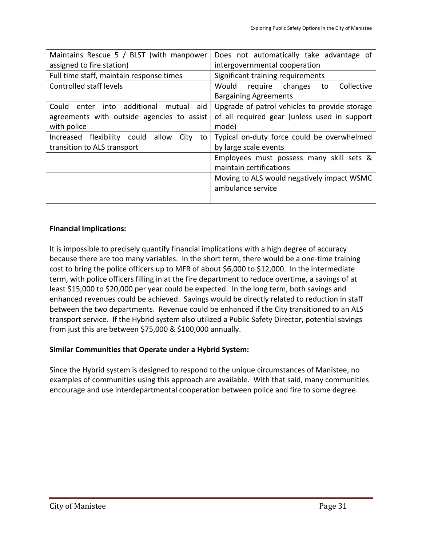| Maintains Rescue 5 / BLST (with manpower           | Does not automatically take advantage of        |
|----------------------------------------------------|-------------------------------------------------|
| assigned to fire station)                          | intergovernmental cooperation                   |
| Full time staff, maintain response times           | Significant training requirements               |
| Controlled staff levels                            | Collective<br>Would<br>require<br>changes<br>to |
|                                                    | <b>Bargaining Agreements</b>                    |
| additional mutual<br>aid<br>Could<br>into<br>enter | Upgrade of patrol vehicles to provide storage   |
| agreements with outside agencies to assist         | of all required gear (unless used in support    |
| with police                                        | mode)                                           |
| allow<br>Increased flexibility could<br>City<br>to | Typical on-duty force could be overwhelmed      |
| transition to ALS transport                        | by large scale events                           |
|                                                    | Employees must possess many skill sets &        |
|                                                    | maintain certifications                         |
|                                                    | Moving to ALS would negatively impact WSMC      |
|                                                    | ambulance service                               |
|                                                    |                                                 |

#### **Financial Implications:**

It is impossible to precisely quantify financial implications with a high degree of accuracy because there are too many variables. In the short term, there would be a one-time training cost to bring the police officers up to MFR of about \$6,000 to \$12,000. In the intermediate term, with police officers filling in at the fire department to reduce overtime, a savings of at least \$15,000 to \$20,000 per year could be expected. In the long term, both savings and enhanced revenues could be achieved. Savings would be directly related to reduction in staff between the two departments. Revenue could be enhanced if the City transitioned to an ALS transport service. If the Hybrid system also utilized a Public Safety Director, potential savings from just this are between \$75,000 & \$100,000 annually.

### **Similar Communities that Operate under a Hybrid System:**

Since the Hybrid system is designed to respond to the unique circumstances of Manistee, no examples of communities using this approach are available. With that said, many communities encourage and use interdepartmental cooperation between police and fire to some degree.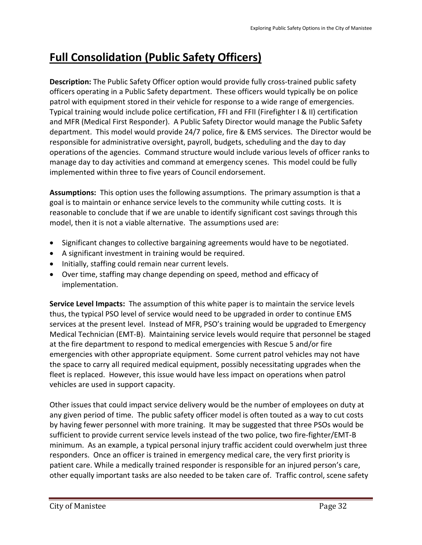# **Full Consolidation (Public Safety Officers)**

**Description:** The Public Safety Officer option would provide fully cross-trained public safety officers operating in a Public Safety department. These officers would typically be on police patrol with equipment stored in their vehicle for response to a wide range of emergencies. Typical training would include police certification, FFI and FFII (Firefighter I & II) certification and MFR (Medical First Responder). A Public Safety Director would manage the Public Safety department. This model would provide 24/7 police, fire & EMS services. The Director would be responsible for administrative oversight, payroll, budgets, scheduling and the day to day operations of the agencies. Command structure would include various levels of officer ranks to manage day to day activities and command at emergency scenes. This model could be fully implemented within three to five years of Council endorsement.

**Assumptions:** This option uses the following assumptions. The primary assumption is that a goal is to maintain or enhance service levels to the community while cutting costs. It is reasonable to conclude that if we are unable to identify significant cost savings through this model, then it is not a viable alternative. The assumptions used are:

- Significant changes to collective bargaining agreements would have to be negotiated.
- A significant investment in training would be required.
- Initially, staffing could remain near current levels.
- Over time, staffing may change depending on speed, method and efficacy of implementation.

**Service Level Impacts:** The assumption of this white paper is to maintain the service levels thus, the typical PSO level of service would need to be upgraded in order to continue EMS services at the present level. Instead of MFR, PSO's training would be upgraded to Emergency Medical Technician (EMT-B). Maintaining service levels would require that personnel be staged at the fire department to respond to medical emergencies with Rescue 5 and/or fire emergencies with other appropriate equipment. Some current patrol vehicles may not have the space to carry all required medical equipment, possibly necessitating upgrades when the fleet is replaced. However, this issue would have less impact on operations when patrol vehicles are used in support capacity.

Other issues that could impact service delivery would be the number of employees on duty at any given period of time. The public safety officer model is often touted as a way to cut costs by having fewer personnel with more training. It may be suggested that three PSOs would be sufficient to provide current service levels instead of the two police, two fire-fighter/EMT-B minimum. As an example, a typical personal injury traffic accident could overwhelm just three responders. Once an officer is trained in emergency medical care, the very first priority is patient care. While a medically trained responder is responsible for an injured person's care, other equally important tasks are also needed to be taken care of. Traffic control, scene safety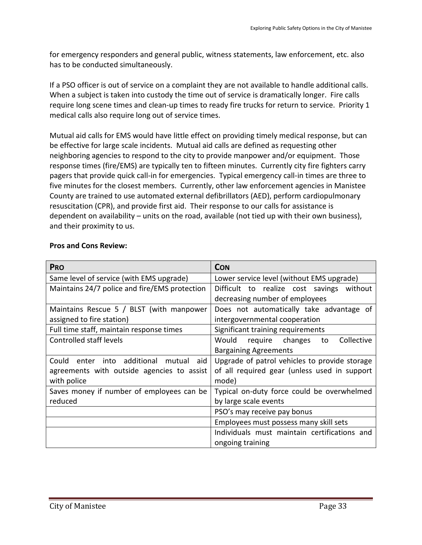for emergency responders and general public, witness statements, law enforcement, etc. also has to be conducted simultaneously.

If a PSO officer is out of service on a complaint they are not available to handle additional calls. When a subject is taken into custody the time out of service is dramatically longer. Fire calls require long scene times and clean-up times to ready fire trucks for return to service. Priority 1 medical calls also require long out of service times.

Mutual aid calls for EMS would have little effect on providing timely medical response, but can be effective for large scale incidents. Mutual aid calls are defined as requesting other neighboring agencies to respond to the city to provide manpower and/or equipment. Those response times (fire/EMS) are typically ten to fifteen minutes. Currently city fire fighters carry pagers that provide quick call-in for emergencies. Typical emergency call-in times are three to five minutes for the closest members. Currently, other law enforcement agencies in Manistee County are trained to use automated external defibrillators (AED), perform cardiopulmonary resuscitation (CPR), and provide first aid. Their response to our calls for assistance is dependent on availability – units on the road, available (not tied up with their own business), and their proximity to us.

| <b>PRO</b>                                    | <b>CON</b>                                      |  |
|-----------------------------------------------|-------------------------------------------------|--|
| Same level of service (with EMS upgrade)      | Lower service level (without EMS upgrade)       |  |
| Maintains 24/7 police and fire/EMS protection | Difficult to realize cost savings without       |  |
|                                               | decreasing number of employees                  |  |
| Maintains Rescue 5 / BLST (with manpower      | Does not automatically take advantage of        |  |
| assigned to fire station)                     | intergovernmental cooperation                   |  |
| Full time staff, maintain response times      | Significant training requirements               |  |
| Controlled staff levels                       | Collective<br>Would<br>require<br>changes<br>to |  |
|                                               | <b>Bargaining Agreements</b>                    |  |
| Could enter into additional mutual aid        | Upgrade of patrol vehicles to provide storage   |  |
| agreements with outside agencies to assist    | of all required gear (unless used in support    |  |
| with police                                   | mode)                                           |  |
| Saves money if number of employees can be     | Typical on-duty force could be overwhelmed      |  |
| reduced                                       | by large scale events                           |  |
|                                               | PSO's may receive pay bonus                     |  |
|                                               | Employees must possess many skill sets          |  |
|                                               | Individuals must maintain certifications and    |  |
|                                               | ongoing training                                |  |

#### **Pros and Cons Review:**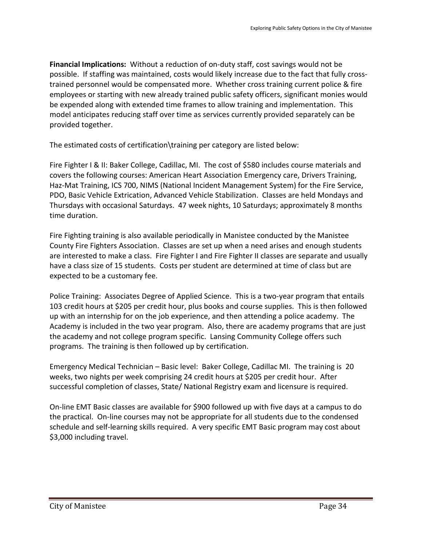**Financial Implications:** Without a reduction of on-duty staff, cost savings would not be possible. If staffing was maintained, costs would likely increase due to the fact that fully crosstrained personnel would be compensated more. Whether cross training current police & fire employees or starting with new already trained public safety officers, significant monies would be expended along with extended time frames to allow training and implementation. This model anticipates reducing staff over time as services currently provided separately can be provided together.

The estimated costs of certification\training per category are listed below:

Fire Fighter I & II: Baker College, Cadillac, MI. The cost of \$580 includes course materials and covers the following courses: American Heart Association Emergency care, Drivers Training, Haz-Mat Training, ICS 700, NIMS (National Incident Management System) for the Fire Service, PDO, Basic Vehicle Extrication, Advanced Vehicle Stabilization. Classes are held Mondays and Thursdays with occasional Saturdays. 47 week nights, 10 Saturdays; approximately 8 months time duration.

Fire Fighting training is also available periodically in Manistee conducted by the Manistee County Fire Fighters Association. Classes are set up when a need arises and enough students are interested to make a class. Fire Fighter I and Fire Fighter II classes are separate and usually have a class size of 15 students. Costs per student are determined at time of class but are expected to be a customary fee.

Police Training: Associates Degree of Applied Science. This is a two-year program that entails 103 credit hours at \$205 per credit hour, plus books and course supplies. This is then followed up with an internship for on the job experience, and then attending a police academy. The Academy is included in the two year program. Also, there are academy programs that are just the academy and not college program specific. Lansing Community College offers such programs. The training is then followed up by certification.

Emergency Medical Technician – Basic level: Baker College, Cadillac MI. The training is 20 weeks, two nights per week comprising 24 credit hours at \$205 per credit hour. After successful completion of classes, State/ National Registry exam and licensure is required.

On-line EMT Basic classes are available for \$900 followed up with five days at a campus to do the practical. On-line courses may not be appropriate for all students due to the condensed schedule and self-learning skills required. A very specific EMT Basic program may cost about \$3,000 including travel.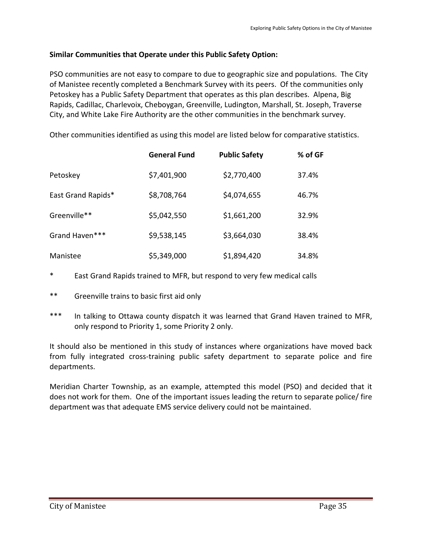### **Similar Communities that Operate under this Public Safety Option:**

PSO communities are not easy to compare to due to geographic size and populations. The City of Manistee recently completed a Benchmark Survey with its peers. Of the communities only Petoskey has a Public Safety Department that operates as this plan describes. Alpena, Big Rapids, Cadillac, Charlevoix, Cheboygan, Greenville, Ludington, Marshall, St. Joseph, Traverse City, and White Lake Fire Authority are the other communities in the benchmark survey.

Other communities identified as using this model are listed below for comparative statistics.

|                    | <b>General Fund</b> | <b>Public Safety</b> | % of GF |
|--------------------|---------------------|----------------------|---------|
| Petoskey           | \$7,401,900         | \$2,770,400          | 37.4%   |
| East Grand Rapids* | \$8,708,764         | \$4,074,655          | 46.7%   |
| Greenville**       | \$5,042,550         | \$1,661,200          | 32.9%   |
| Grand Haven***     | \$9,538,145         | \$3,664,030          | 38.4%   |
| Manistee           | \$5,349,000         | \$1,894,420          | 34.8%   |

- \* East Grand Rapids trained to MFR, but respond to very few medical calls
- \*\* Greenville trains to basic first aid only
- \*\*\* In talking to Ottawa county dispatch it was learned that Grand Haven trained to MFR, only respond to Priority 1, some Priority 2 only.

It should also be mentioned in this study of instances where organizations have moved back from fully integrated cross-training public safety department to separate police and fire departments.

Meridian Charter Township, as an example, attempted this model (PSO) and decided that it does not work for them. One of the important issues leading the return to separate police/ fire department was that adequate EMS service delivery could not be maintained.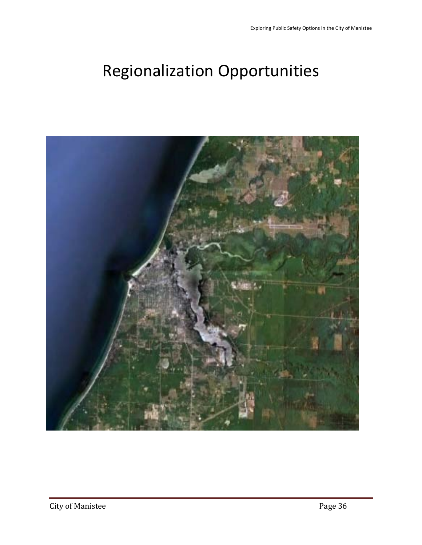# Regionalization Opportunities

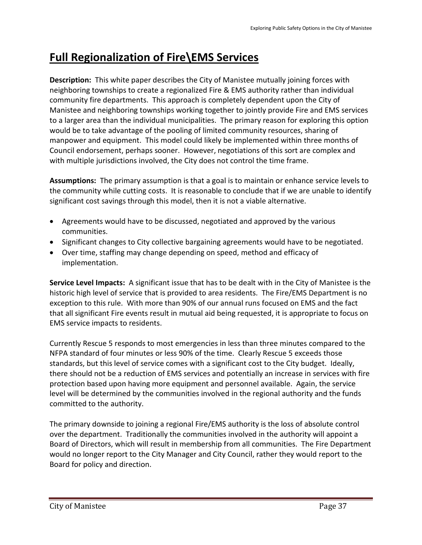# **Full Regionalization of Fire\EMS Services**

**Description:** This white paper describes the City of Manistee mutually joining forces with neighboring townships to create a regionalized Fire & EMS authority rather than individual community fire departments. This approach is completely dependent upon the City of Manistee and neighboring townships working together to jointly provide Fire and EMS services to a larger area than the individual municipalities. The primary reason for exploring this option would be to take advantage of the pooling of limited community resources, sharing of manpower and equipment. This model could likely be implemented within three months of Council endorsement, perhaps sooner. However, negotiations of this sort are complex and with multiple jurisdictions involved, the City does not control the time frame.

**Assumptions:** The primary assumption is that a goal is to maintain or enhance service levels to the community while cutting costs. It is reasonable to conclude that if we are unable to identify significant cost savings through this model, then it is not a viable alternative.

- Agreements would have to be discussed, negotiated and approved by the various communities.
- Significant changes to City collective bargaining agreements would have to be negotiated.
- Over time, staffing may change depending on speed, method and efficacy of implementation.

**Service Level Impacts:** A significant issue that has to be dealt with in the City of Manistee is the historic high level of service that is provided to area residents. The Fire/EMS Department is no exception to this rule. With more than 90% of our annual runs focused on EMS and the fact that all significant Fire events result in mutual aid being requested, it is appropriate to focus on EMS service impacts to residents.

Currently Rescue 5 responds to most emergencies in less than three minutes compared to the NFPA standard of four minutes or less 90% of the time. Clearly Rescue 5 exceeds those standards, but this level of service comes with a significant cost to the City budget. Ideally, there should not be a reduction of EMS services and potentially an increase in services with fire protection based upon having more equipment and personnel available. Again, the service level will be determined by the communities involved in the regional authority and the funds committed to the authority.

The primary downside to joining a regional Fire/EMS authority is the loss of absolute control over the department. Traditionally the communities involved in the authority will appoint a Board of Directors, which will result in membership from all communities. The Fire Department would no longer report to the City Manager and City Council, rather they would report to the Board for policy and direction.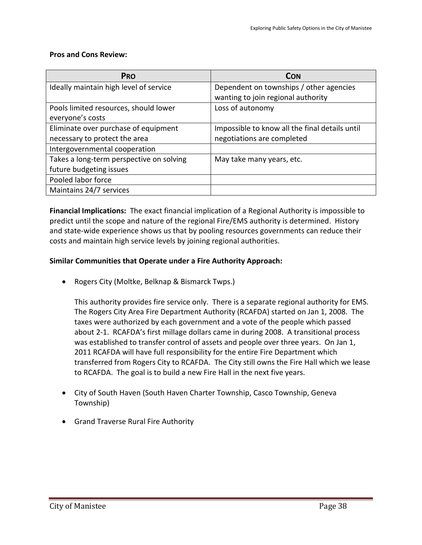#### **Pros and Cons Review:**

| <b>PRO</b>                               | <b>CON</b>                                     |
|------------------------------------------|------------------------------------------------|
| Ideally maintain high level of service   | Dependent on townships / other agencies        |
|                                          | wanting to join regional authority             |
| Pools limited resources, should lower    | Loss of autonomy                               |
| everyone's costs                         |                                                |
| Eliminate over purchase of equipment     | Impossible to know all the final details until |
| necessary to protect the area            | negotiations are completed                     |
| Intergovernmental cooperation            |                                                |
| Takes a long-term perspective on solving | May take many years, etc.                      |
| future budgeting issues                  |                                                |
| Pooled labor force                       |                                                |
| Maintains 24/7 services                  |                                                |

**Financial Implications:** The exact financial implication of a Regional Authority is impossible to predict until the scope and nature of the regional Fire/EMS authority is determined. History and state-wide experience shows us that by pooling resources governments can reduce their costs and maintain high service levels by joining regional authorities.

#### **Similar Communities that Operate under a Fire Authority Approach:**

• Rogers City (Moltke, Belknap & Bismarck Twps.)

This authority provides fire service only. There is a separate regional authority for EMS. The Rogers City Area Fire Department Authority (RCAFDA) started on Jan 1, 2008. The taxes were authorized by each government and a vote of the people which passed about 2-1. RCAFDA's first millage dollars came in during 2008. A transitional process was established to transfer control of assets and people over three years. On Jan 1, 2011 RCAFDA will have full responsibility for the entire Fire Department which transferred from Rogers City to RCAFDA. The City still owns the Fire Hall which we lease to RCAFDA. The goal is to build a new Fire Hall in the next five years.

- City of South Haven (South Haven Charter Township, Casco Township, Geneva Township)
- Grand Traverse Rural Fire Authority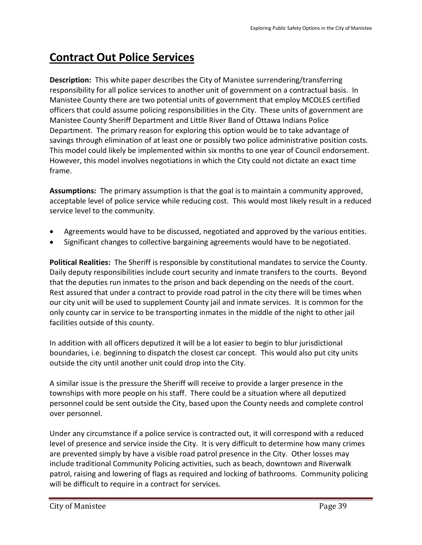# **Contract Out Police Services**

**Description:** This white paper describes the City of Manistee surrendering/transferring responsibility for all police services to another unit of government on a contractual basis. In Manistee County there are two potential units of government that employ MCOLES certified officers that could assume policing responsibilities in the City. These units of government are Manistee County Sheriff Department and Little River Band of Ottawa Indians Police Department. The primary reason for exploring this option would be to take advantage of savings through elimination of at least one or possibly two police administrative position costs. This model could likely be implemented within six months to one year of Council endorsement. However, this model involves negotiations in which the City could not dictate an exact time frame.

**Assumptions:** The primary assumption is that the goal is to maintain a community approved, acceptable level of police service while reducing cost. This would most likely result in a reduced service level to the community.

- Agreements would have to be discussed, negotiated and approved by the various entities.
- Significant changes to collective bargaining agreements would have to be negotiated.

**Political Realities:** The Sheriff is responsible by constitutional mandates to service the County. Daily deputy responsibilities include court security and inmate transfers to the courts. Beyond that the deputies run inmates to the prison and back depending on the needs of the court. Rest assured that under a contract to provide road patrol in the city there will be times when our city unit will be used to supplement County jail and inmate services. It is common for the only county car in service to be transporting inmates in the middle of the night to other jail facilities outside of this county.

In addition with all officers deputized it will be a lot easier to begin to blur jurisdictional boundaries, i.e. beginning to dispatch the closest car concept. This would also put city units outside the city until another unit could drop into the City.

A similar issue is the pressure the Sheriff will receive to provide a larger presence in the townships with more people on his staff. There could be a situation where all deputized personnel could be sent outside the City, based upon the County needs and complete control over personnel.

Under any circumstance if a police service is contracted out, it will correspond with a reduced level of presence and service inside the City. It is very difficult to determine how many crimes are prevented simply by have a visible road patrol presence in the City. Other losses may include traditional Community Policing activities, such as beach, downtown and Riverwalk patrol, raising and lowering of flags as required and locking of bathrooms. Community policing will be difficult to require in a contract for services.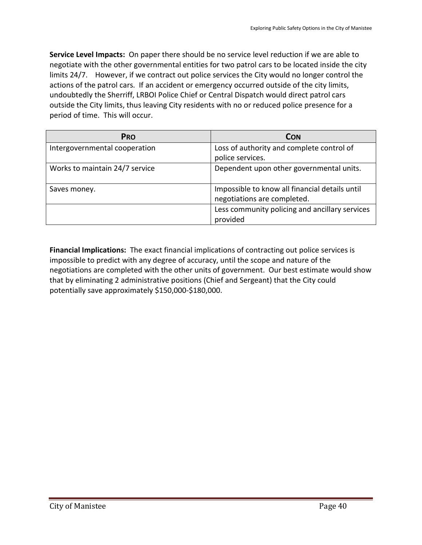**Service Level Impacts:** On paper there should be no service level reduction if we are able to negotiate with the other governmental entities for two patrol cars to be located inside the city limits 24/7. However, if we contract out police services the City would no longer control the actions of the patrol cars. If an accident or emergency occurred outside of the city limits, undoubtedly the Sherriff, LRBOI Police Chief or Central Dispatch would direct patrol cars outside the City limits, thus leaving City residents with no or reduced police presence for a period of time. This will occur.

| <b>PRO</b>                     | <b>CON</b>                                     |
|--------------------------------|------------------------------------------------|
| Intergovernmental cooperation  | Loss of authority and complete control of      |
|                                | police services.                               |
| Works to maintain 24/7 service | Dependent upon other governmental units.       |
| Saves money.                   | Impossible to know all financial details until |
|                                | negotiations are completed.                    |
|                                | Less community policing and ancillary services |
|                                | provided                                       |

**Financial Implications:** The exact financial implications of contracting out police services is impossible to predict with any degree of accuracy, until the scope and nature of the negotiations are completed with the other units of government. Our best estimate would show that by eliminating 2 administrative positions (Chief and Sergeant) that the City could potentially save approximately \$150,000-\$180,000.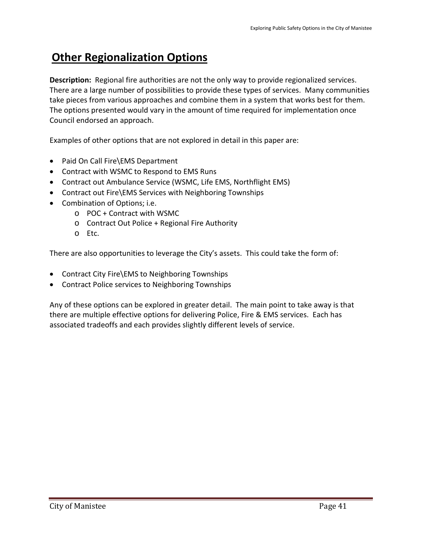# **Other Regionalization Options**

**Description:** Regional fire authorities are not the only way to provide regionalized services. There are a large number of possibilities to provide these types of services. Many communities take pieces from various approaches and combine them in a system that works best for them. The options presented would vary in the amount of time required for implementation once Council endorsed an approach.

Examples of other options that are not explored in detail in this paper are:

- Paid On Call Fire\EMS Department
- Contract with WSMC to Respond to EMS Runs
- Contract out Ambulance Service (WSMC, Life EMS, Northflight EMS)
- Contract out Fire\EMS Services with Neighboring Townships
- Combination of Options; i.e.
	- o POC + Contract with WSMC
	- o Contract Out Police + Regional Fire Authority
	- o Etc.

There are also opportunities to leverage the City's assets. This could take the form of:

- Contract City Fire\EMS to Neighboring Townships
- Contract Police services to Neighboring Townships

Any of these options can be explored in greater detail. The main point to take away is that there are multiple effective options for delivering Police, Fire & EMS services. Each has associated tradeoffs and each provides slightly different levels of service.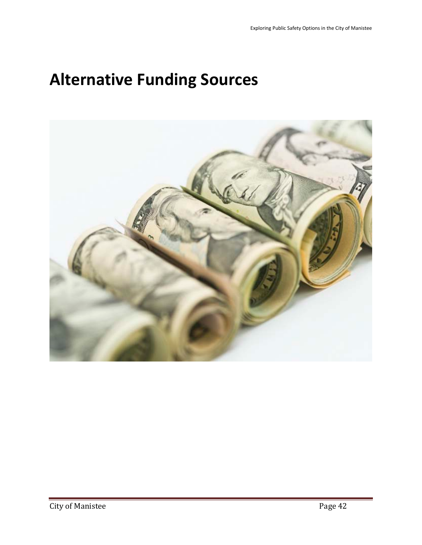# **Alternative Funding Sources**

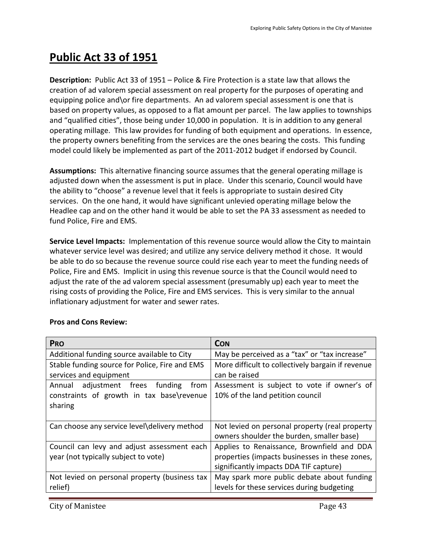# **Public Act 33 of 1951**

**Description:** Public Act 33 of 1951 – Police & Fire Protection is a state law that allows the creation of ad valorem special assessment on real property for the purposes of operating and equipping police and\or fire departments. An ad valorem special assessment is one that is based on property values, as opposed to a flat amount per parcel. The law applies to townships and "qualified cities", those being under 10,000 in population. It is in addition to any general operating millage. This law provides for funding of both equipment and operations. In essence, the property owners benefiting from the services are the ones bearing the costs. This funding model could likely be implemented as part of the 2011-2012 budget if endorsed by Council.

**Assumptions:** This alternative financing source assumes that the general operating millage is adjusted down when the assessment is put in place. Under this scenario, Council would have the ability to "choose" a revenue level that it feels is appropriate to sustain desired City services. On the one hand, it would have significant unlevied operating millage below the Headlee cap and on the other hand it would be able to set the PA 33 assessment as needed to fund Police, Fire and EMS.

**Service Level Impacts:** Implementation of this revenue source would allow the City to maintain whatever service level was desired; and utilize any service delivery method it chose. It would be able to do so because the revenue source could rise each year to meet the funding needs of Police, Fire and EMS. Implicit in using this revenue source is that the Council would need to adjust the rate of the ad valorem special assessment (presumably up) each year to meet the rising costs of providing the Police, Fire and EMS services. This is very similar to the annual inflationary adjustment for water and sewer rates.

| <b>PRO</b>                                     | <b>CON</b>                                        |
|------------------------------------------------|---------------------------------------------------|
| Additional funding source available to City    | May be perceived as a "tax" or "tax increase"     |
| Stable funding source for Police, Fire and EMS | More difficult to collectively bargain if revenue |
| services and equipment                         | can be raised                                     |
| adjustment frees<br>funding<br>from<br>Annual  | Assessment is subject to vote if owner's of       |
| constraints of growth in tax base\revenue      | 10% of the land petition council                  |
| sharing                                        |                                                   |
|                                                |                                                   |
| Can choose any service level\delivery method   | Not levied on personal property (real property    |
|                                                | owners shoulder the burden, smaller base)         |
| Council can levy and adjust assessment each    | Applies to Renaissance, Brownfield and DDA        |
| year (not typically subject to vote)           | properties (impacts businesses in these zones,    |
|                                                | significantly impacts DDA TIF capture)            |
| Not levied on personal property (business tax  | May spark more public debate about funding        |
| relief)                                        | levels for these services during budgeting        |

#### **Pros and Cons Review:**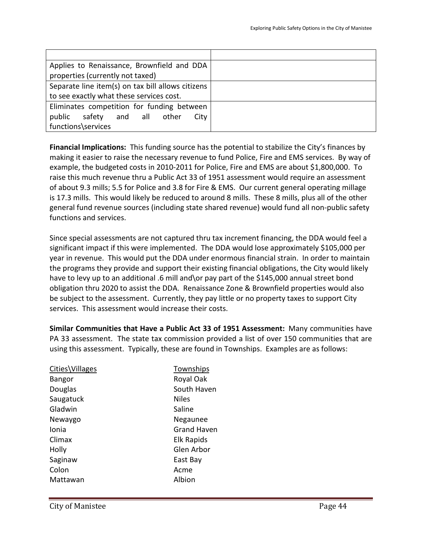| Applies to Renaissance, Brownfield and DDA        |  |
|---------------------------------------------------|--|
| properties (currently not taxed)                  |  |
| Separate line item(s) on tax bill allows citizens |  |
| to see exactly what these services cost.          |  |
| Eliminates competition for funding between        |  |
| public<br>all<br>safety<br>City<br>and<br>other   |  |
| functions\services                                |  |

**Financial Implications:** This funding source has the potential to stabilize the City's finances by making it easier to raise the necessary revenue to fund Police, Fire and EMS services. By way of example, the budgeted costs in 2010-2011 for Police, Fire and EMS are about \$1,800,000. To raise this much revenue thru a Public Act 33 of 1951 assessment would require an assessment of about 9.3 mills; 5.5 for Police and 3.8 for Fire & EMS. Our current general operating millage is 17.3 mills. This would likely be reduced to around 8 mills. These 8 mills, plus all of the other general fund revenue sources (including state shared revenue) would fund all non-public safety functions and services.

Since special assessments are not captured thru tax increment financing, the DDA would feel a significant impact if this were implemented. The DDA would lose approximately \$105,000 per year in revenue. This would put the DDA under enormous financial strain. In order to maintain the programs they provide and support their existing financial obligations, the City would likely have to levy up to an additional .6 mill and\or pay part of the \$145,000 annual street bond obligation thru 2020 to assist the DDA. Renaissance Zone & Brownfield properties would also be subject to the assessment. Currently, they pay little or no property taxes to support City services. This assessment would increase their costs.

**Similar Communities that Have a Public Act 33 of 1951 Assessment:** Many communities have PA 33 assessment. The state tax commission provided a list of over 150 communities that are using this assessment. Typically, these are found in Townships. Examples are as follows:

| Cities\Villages | Townships          |
|-----------------|--------------------|
| <b>Bangor</b>   | Royal Oak          |
| Douglas         | South Haven        |
| Saugatuck       | <b>Niles</b>       |
| Gladwin         | Saline             |
| Newaygo         | Negaunee           |
| Ionia           | <b>Grand Haven</b> |
| Climax          | <b>Elk Rapids</b>  |
| Holly           | Glen Arbor         |
| Saginaw         | East Bay           |
| Colon           | Acme               |
| Mattawan        | Albion             |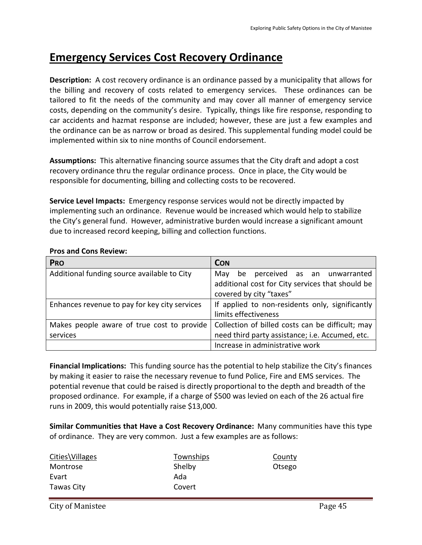# **Emergency Services Cost Recovery Ordinance**

**Description:** A cost recovery ordinance is an ordinance passed by a municipality that allows for the billing and recovery of costs related to emergency services. These ordinances can be tailored to fit the needs of the community and may cover all manner of emergency service costs, depending on the community's desire. Typically, things like fire response, responding to car accidents and hazmat response are included; however, these are just a few examples and the ordinance can be as narrow or broad as desired. This supplemental funding model could be implemented within six to nine months of Council endorsement.

**Assumptions:** This alternative financing source assumes that the City draft and adopt a cost recovery ordinance thru the regular ordinance process. Once in place, the City would be responsible for documenting, billing and collecting costs to be recovered.

**Service Level Impacts:** Emergency response services would not be directly impacted by implementing such an ordinance. Revenue would be increased which would help to stabilize the City's general fund. However, administrative burden would increase a significant amount due to increased record keeping, billing and collection functions.

| <b>PRO</b>                                    | <b>CON</b>                                       |
|-----------------------------------------------|--------------------------------------------------|
| Additional funding source available to City   | be perceived as an unwarranted<br>Mav            |
|                                               | additional cost for City services that should be |
|                                               | covered by city "taxes"                          |
| Enhances revenue to pay for key city services | If applied to non-residents only, significantly  |
|                                               | limits effectiveness                             |
| Makes people aware of true cost to provide    | Collection of billed costs can be difficult; may |
| services                                      | need third party assistance; i.e. Accumed, etc.  |
|                                               | Increase in administrative work                  |

### **Pros and Cons Review:**

**Financial Implications:** This funding source has the potential to help stabilize the City's finances by making it easier to raise the necessary revenue to fund Police, Fire and EMS services. The potential revenue that could be raised is directly proportional to the depth and breadth of the proposed ordinance. For example, if a charge of \$500 was levied on each of the 26 actual fire runs in 2009, this would potentially raise \$13,000.

**Similar Communities that Have a Cost Recovery Ordinance:** Many communities have this type of ordinance. They are very common. Just a few examples are as follows:

| Cities\Villages | Townships | County |
|-----------------|-----------|--------|
| Montrose        | Shelby    | Otsego |
| Evart           | Ada       |        |
| Tawas City      | Covert    |        |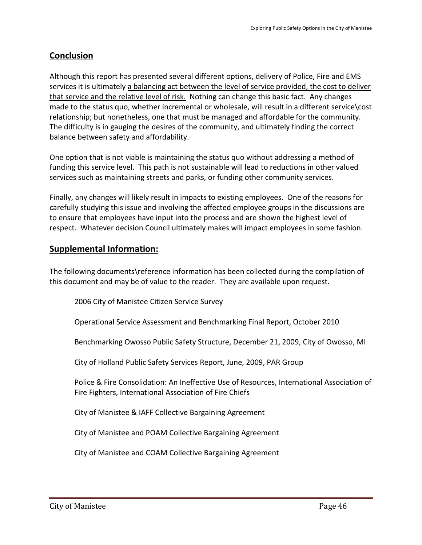# **Conclusion**

Although this report has presented several different options, delivery of Police, Fire and EMS services it is ultimately a balancing act between the level of service provided, the cost to deliver that service and the relative level of risk. Nothing can change this basic fact. Any changes made to the status quo, whether incremental or wholesale, will result in a different service\cost relationship; but nonetheless, one that must be managed and affordable for the community. The difficulty is in gauging the desires of the community, and ultimately finding the correct balance between safety and affordability.

One option that is not viable is maintaining the status quo without addressing a method of funding this service level. This path is not sustainable will lead to reductions in other valued services such as maintaining streets and parks, or funding other community services.

Finally, any changes will likely result in impacts to existing employees. One of the reasons for carefully studying this issue and involving the affected employee groups in the discussions are to ensure that employees have input into the process and are shown the highest level of respect. Whatever decision Council ultimately makes will impact employees in some fashion.

# **Supplemental Information:**

The following documents\reference information has been collected during the compilation of this document and may be of value to the reader. They are available upon request.

2006 City of Manistee Citizen Service Survey

Operational Service Assessment and Benchmarking Final Report, October 2010

Benchmarking Owosso Public Safety Structure, December 21, 2009, City of Owosso, MI

City of Holland Public Safety Services Report, June, 2009, PAR Group

Police & Fire Consolidation: An Ineffective Use of Resources, International Association of Fire Fighters, International Association of Fire Chiefs

City of Manistee & IAFF Collective Bargaining Agreement

City of Manistee and POAM Collective Bargaining Agreement

City of Manistee and COAM Collective Bargaining Agreement